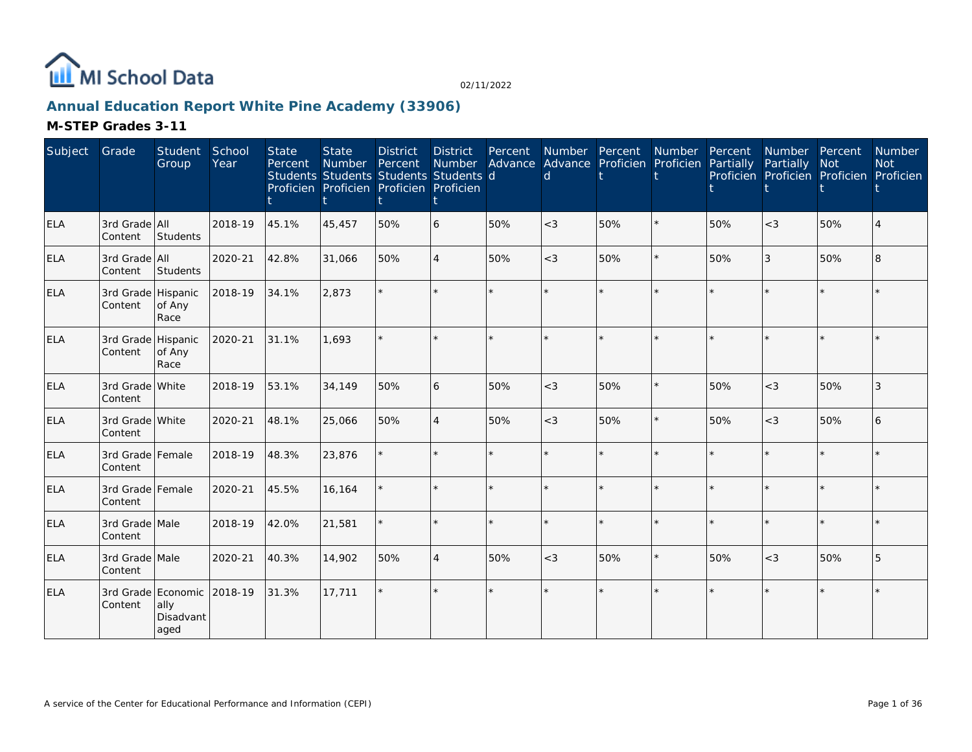

## **Annual Education Report White Pine Academy (33906)**

| Subject    | Grade                         | Student<br>Group                                | School<br>Year | <b>State</b><br>Percent | <b>State</b><br>Number Percent<br>Students Students Students Students d<br>Proficien Proficien Proficien Proficien | <b>District</b> | <b>District</b><br>Number<br>t | Percent | <b>Number</b><br>Advance Advance Proficien Proficien<br>d | Percent | Number  | Percent<br>Partially | Number Percent<br>Partially<br>Proficien Proficien Proficien Proficien | <b>Not</b> | Number<br><b>Not</b>        |
|------------|-------------------------------|-------------------------------------------------|----------------|-------------------------|--------------------------------------------------------------------------------------------------------------------|-----------------|--------------------------------|---------|-----------------------------------------------------------|---------|---------|----------------------|------------------------------------------------------------------------|------------|-----------------------------|
| <b>ELA</b> | 3rd Grade All<br>Content      | Students                                        | 2018-19        | 45.1%                   | 45,457                                                                                                             | 50%             | 6                              | 50%     | $<$ 3                                                     | 50%     | $\star$ | 50%                  | $<$ 3                                                                  | 50%        | $\boldsymbol{\vartriangle}$ |
| ELA        | 3rd Grade All<br>Content      | Students                                        | 2020-21        | 42.8%                   | 31,066                                                                                                             | 50%             | $\overline{4}$                 | 50%     | $\lt$ 3                                                   | 50%     | $\star$ | 50%                  | 3                                                                      | 50%        | $\overline{8}$              |
| <b>ELA</b> | 3rd Grade Hispanic<br>Content | of Any<br>Race                                  | 2018-19        | 34.1%                   | 2,873                                                                                                              |                 |                                |         |                                                           | ÷.      |         |                      | $\star$                                                                | $\star$    |                             |
| <b>ELA</b> | 3rd Grade Hispanic<br>Content | of Any<br>Race                                  | 2020-21        | 31.1%                   | 1.693                                                                                                              |                 |                                |         |                                                           |         |         |                      | $\star$                                                                | $\star$    |                             |
| <b>ELA</b> | 3rd Grade White<br>Content    |                                                 | 2018-19        | 53.1%                   | 34,149                                                                                                             | 50%             | 6                              | 50%     | $<$ 3                                                     | 50%     | $\star$ | 50%                  | $<$ 3                                                                  | 50%        | 3                           |
| <b>ELA</b> | 3rd Grade White<br>Content    |                                                 | 2020-21        | 48.1%                   | 25,066                                                                                                             | 50%             | $\overline{4}$                 | 50%     | $<$ 3                                                     | 50%     | $\star$ | 50%                  | $<$ 3                                                                  | 50%        | 6                           |
| <b>ELA</b> | 3rd Grade Female<br>Content   |                                                 | 2018-19        | 48.3%                   | 23,876                                                                                                             |                 |                                |         |                                                           | $\star$ | ÷.      |                      | $\star$                                                                | $\star$    |                             |
| <b>ELA</b> | 3rd Grade Female<br>Content   |                                                 | 2020-21        | 45.5%                   | 16,164                                                                                                             |                 |                                | $\star$ |                                                           | ÷.      | $\star$ |                      | $\star$                                                                | $\star$    |                             |
| <b>ELA</b> | 3rd Grade Male<br>Content     |                                                 | 2018-19        | 42.0%                   | 21,581                                                                                                             |                 |                                |         |                                                           |         | $\star$ |                      | $\star$                                                                | $\star$    |                             |
| <b>ELA</b> | 3rd Grade Male<br>Content     |                                                 | 2020-21        | 40.3%                   | 14,902                                                                                                             | 50%             | $\overline{4}$                 | 50%     | $<$ 3                                                     | 50%     | $\star$ | 50%                  | $<$ 3                                                                  | 50%        | 5                           |
| <b>ELA</b> | Content                       | 3rd Grade Economic<br>ally<br>Disadvant<br>aged | 2018-19        | 31.3%                   | 17,711                                                                                                             |                 |                                |         |                                                           | $\star$ |         |                      | $\star$                                                                | $\star$    |                             |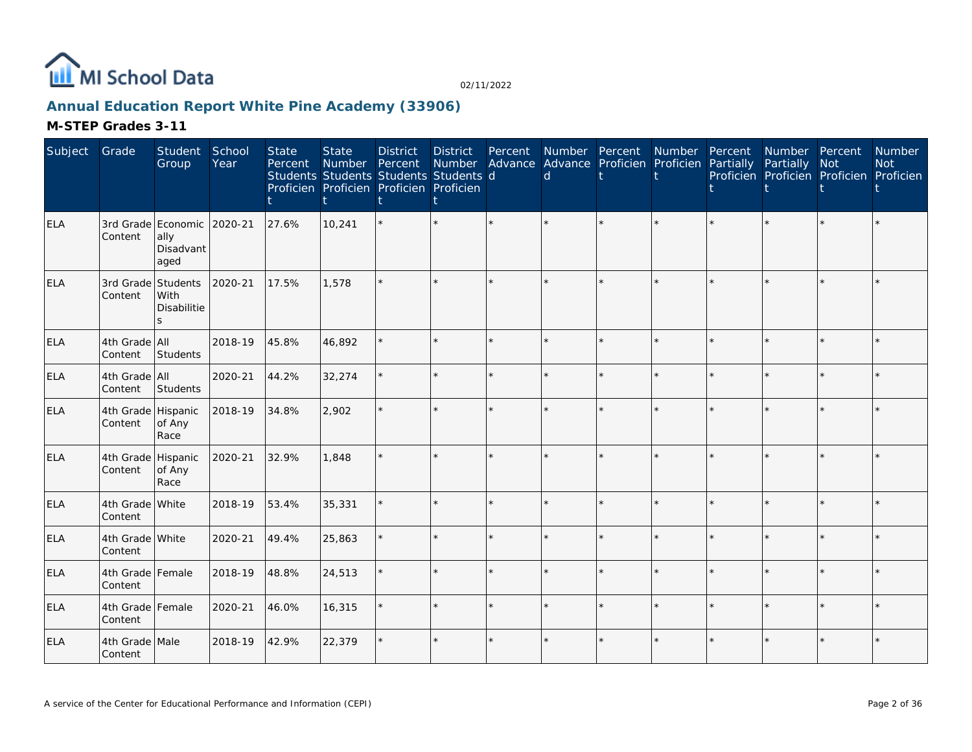

## **Annual Education Report White Pine Academy (33906)**

| Subject    | Grade                         | Student<br>Group                                        | School<br>Year | <b>State</b><br>Percent | <b>State</b><br>Number<br>Students Students Students Students d<br>Proficien Proficien Proficien Proficien | <b>District</b><br>Percent | <b>District</b><br>Number | Percent | $\mathsf{d}$ | Number Percent Number<br>Advance Advance Proficien Proficien |         | Percent<br>Partially | Number Percent<br>Partially<br>Proficien Proficien Proficien Proficien | Not     | Number<br><b>Not</b> |
|------------|-------------------------------|---------------------------------------------------------|----------------|-------------------------|------------------------------------------------------------------------------------------------------------|----------------------------|---------------------------|---------|--------------|--------------------------------------------------------------|---------|----------------------|------------------------------------------------------------------------|---------|----------------------|
| ELA        | Content                       | 3rd Grade Economic 2020-21<br>ally<br>Disadvant<br>aged |                | 27.6%                   | 10,241                                                                                                     |                            | $\star$                   |         |              | $\star$                                                      |         |                      |                                                                        |         |                      |
| <b>ELA</b> | 3rd Grade Students<br>Content | With<br>Disabilitie                                     | 2020-21        | 17.5%                   | 1,578                                                                                                      |                            | $\star$                   |         |              |                                                              |         |                      |                                                                        |         |                      |
| ELA        | 4th Grade All<br>Content      | Students                                                | 2018-19        | 45.8%                   | 46,892                                                                                                     |                            | $\star$                   | $\star$ |              | $\star$                                                      | $\star$ |                      |                                                                        | $\star$ |                      |
| ELA        | 4th Grade All<br>Content      | Students                                                | 2020-21        | 44.2%                   | 32,274                                                                                                     |                            | $\star$                   | ÷.      |              | $\star$                                                      | $\star$ |                      |                                                                        | $\star$ |                      |
| <b>ELA</b> | 4th Grade Hispanic<br>Content | of Any<br>Race                                          | 2018-19        | 34.8%                   | 2,902                                                                                                      |                            | $\star$                   |         |              | $\star$                                                      |         |                      |                                                                        |         |                      |
| <b>ELA</b> | 4th Grade Hispanic<br>Content | of Any<br>Race                                          | 2020-21        | 32.9%                   | 1,848                                                                                                      |                            |                           |         |              |                                                              |         |                      |                                                                        |         |                      |
| <b>ELA</b> | 4th Grade White<br>Content    |                                                         | 2018-19        | 53.4%                   | 35,331                                                                                                     |                            | $\star$                   | $\star$ |              | $\star$                                                      |         |                      |                                                                        | ÷.      |                      |
| <b>ELA</b> | 4th Grade White<br>Content    |                                                         | 2020-21        | 49.4%                   | 25,863                                                                                                     |                            | $\star$                   | ÷.      |              | $\star$                                                      | ÷.      |                      |                                                                        | $\star$ |                      |
| <b>ELA</b> | 4th Grade Female<br>Content   |                                                         | 2018-19        | 48.8%                   | 24,513                                                                                                     |                            | $\star$                   | ÷.      |              | $\star$                                                      | ÷.      |                      |                                                                        | $\star$ |                      |
| ELA        | 4th Grade Female<br>Content   |                                                         | 2020-21        | 46.0%                   | 16,315                                                                                                     |                            | ÷.                        | ÷.      |              | $\star$                                                      | ÷.      |                      |                                                                        | $\star$ |                      |
| <b>ELA</b> | 4th Grade Male<br>Content     |                                                         | 2018-19        | 42.9%                   | 22,379                                                                                                     |                            | $\star$                   |         |              | $\star$                                                      |         |                      |                                                                        |         |                      |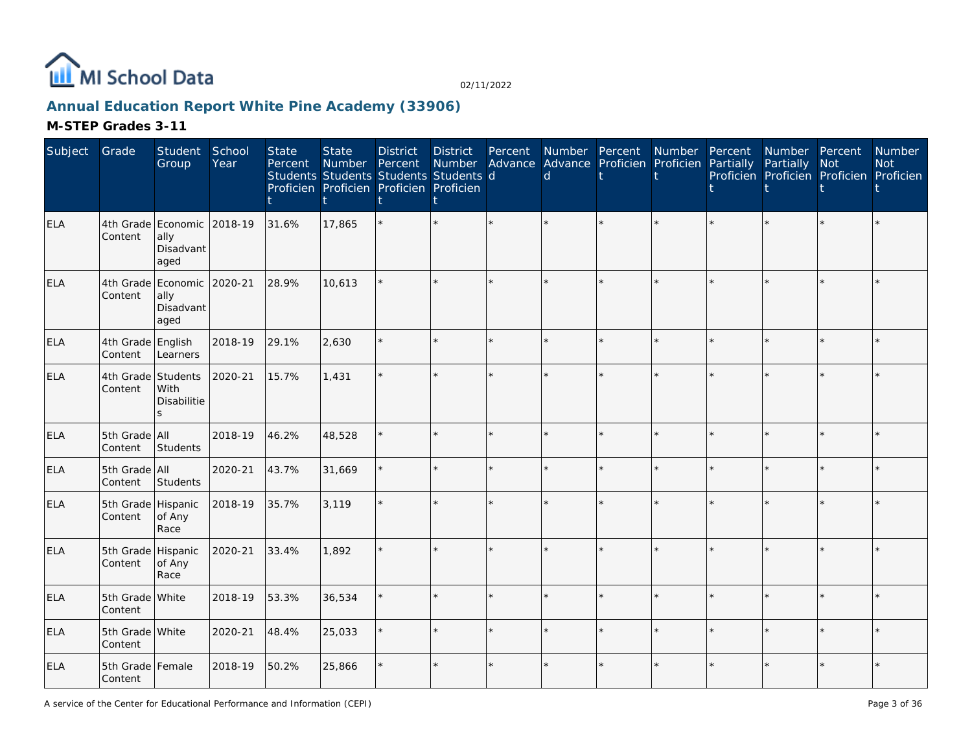

## **Annual Education Report White Pine Academy (33906)**

| Subject    | Grade                         | Student<br>Group                                          | School<br>Year | <b>State</b><br>Percent | <b>State</b><br>Number | <b>District</b><br>Percent<br>Students Students Students Students d<br>Proficien Proficien Proficien Proficien | <b>District</b><br>Number<br>t | Percent | $\mathsf{d}$ | Number Percent Number<br>Advance Advance Proficien Proficien Partially |         | Percent | Number Percent<br>Partially Not | Proficien Proficien Proficien Proficien | <b>Number</b><br><b>Not</b> |
|------------|-------------------------------|-----------------------------------------------------------|----------------|-------------------------|------------------------|----------------------------------------------------------------------------------------------------------------|--------------------------------|---------|--------------|------------------------------------------------------------------------|---------|---------|---------------------------------|-----------------------------------------|-----------------------------|
| <b>ELA</b> | Content                       | 4th Grade Economic<br>ally<br>Disadvant<br>aged           | 2018-19        | 31.6%                   | 17,865                 |                                                                                                                |                                |         |              |                                                                        |         |         |                                 |                                         |                             |
| <b>ELA</b> | Content                       | 4th Grade Economic<br>ally<br>Disadvant<br>aged           | 2020-21        | 28.9%                   | 10,613                 |                                                                                                                | $\star$                        |         |              |                                                                        |         |         |                                 | $\star$                                 |                             |
| <b>ELA</b> | 4th Grade English<br>Content  | Learners                                                  | 2018-19        | 29.1%                   | 2,630                  |                                                                                                                | $\star$                        | $\star$ |              |                                                                        | $\star$ |         |                                 | $\star$                                 |                             |
| <b>ELA</b> | Content                       | 4th Grade Students<br>With<br>Disabilitie<br>$\mathbf{S}$ | 2020-21        | 15.7%                   | 1,431                  |                                                                                                                | $\star$                        |         |              |                                                                        |         |         |                                 | $\star$                                 |                             |
| <b>ELA</b> | 5th Grade All<br>Content      | Students                                                  | 2018-19        | 46.2%                   | 48,528                 |                                                                                                                | $\star$                        |         |              |                                                                        |         |         |                                 | $\star$                                 |                             |
| ELA        | 5th Grade All<br>Content      | Students                                                  | 2020-21        | 43.7%                   | 31,669                 |                                                                                                                | $\star$                        |         |              |                                                                        |         |         |                                 | $\star$                                 |                             |
| ELA        | 5th Grade Hispanic<br>Content | of Any<br>Race                                            | 2018-19        | 35.7%                   | 3,119                  |                                                                                                                | $\star$                        |         |              |                                                                        |         |         |                                 | $\star$                                 |                             |
| <b>ELA</b> | 5th Grade Hispanic<br>Content | of Any<br>Race                                            | 2020-21        | 33.4%                   | 1,892                  |                                                                                                                | $\star$                        |         |              |                                                                        |         |         |                                 | $\star$                                 |                             |
| <b>ELA</b> | 5th Grade White<br>Content    |                                                           | 2018-19        | 53.3%                   | 36,534                 |                                                                                                                | ÷.                             |         |              |                                                                        |         |         |                                 | $\star$                                 |                             |
| ELA        | 5th Grade White<br>Content    |                                                           | 2020-21        | 48.4%                   | 25,033                 |                                                                                                                | ÷.                             | $\star$ |              |                                                                        | $\Phi$  |         |                                 | $\star$                                 |                             |
| <b>ELA</b> | 5th Grade Female<br>Content   |                                                           | 2018-19        | 50.2%                   | 25,866                 |                                                                                                                | $\star$                        |         |              |                                                                        |         |         |                                 | $\star$                                 |                             |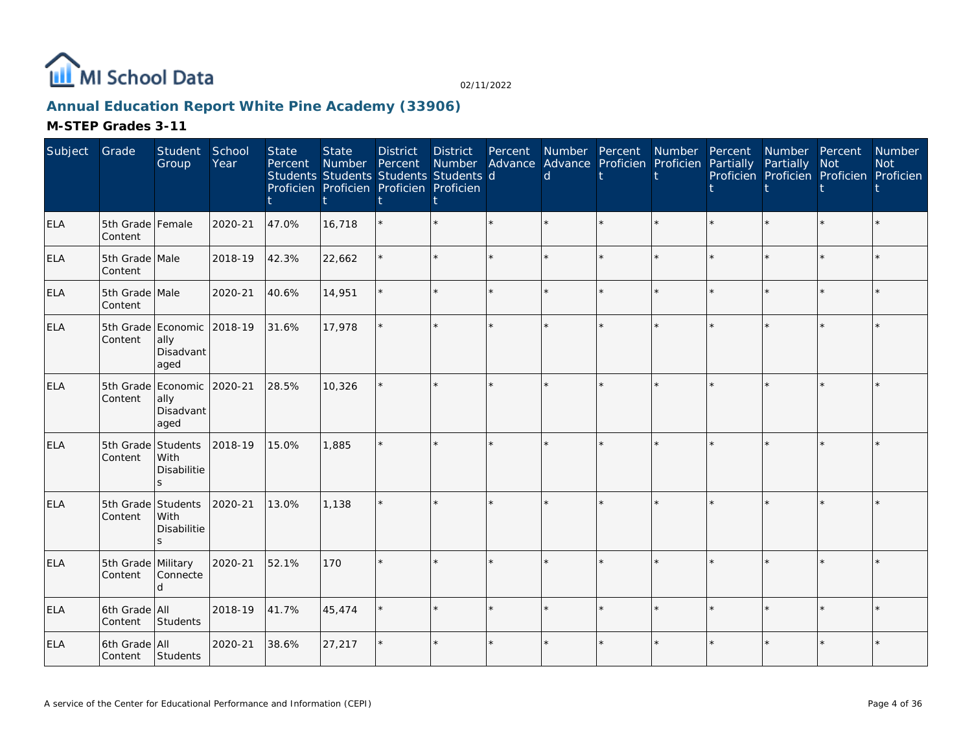

## **Annual Education Report White Pine Academy (33906)**

| Subject    | Grade                         | Student<br>Group                                        | School<br>Year | <b>State</b><br>Percent | <b>State</b><br>Number | <b>District</b><br>Percent<br>Students Students Students Students d<br>Proficien Proficien Proficien Proficien | District<br>Number | Percent | Number Percent<br><sub>d</sub> | Advance Advance Proficien Proficien | Number  | Percent<br>Partially | Number Percent<br>Partially | Not<br>Proficien Proficien Proficien Proficien | Number<br><b>Not</b> |
|------------|-------------------------------|---------------------------------------------------------|----------------|-------------------------|------------------------|----------------------------------------------------------------------------------------------------------------|--------------------|---------|--------------------------------|-------------------------------------|---------|----------------------|-----------------------------|------------------------------------------------|----------------------|
| ELA        | 5th Grade Female<br>Content   |                                                         | 2020-21        | 47.0%                   | 16,718                 |                                                                                                                |                    |         |                                |                                     |         |                      |                             |                                                |                      |
| ELA        | 5th Grade Male<br>Content     |                                                         | 2018-19        | 42.3%                   | 22,662                 |                                                                                                                |                    |         |                                |                                     | $\star$ |                      | $\star$                     | $\star$                                        |                      |
| ELA        | 5th Grade Male<br>Content     |                                                         | 2020-21        | 40.6%                   | 14,951                 |                                                                                                                |                    | $\star$ |                                |                                     | $\star$ |                      | ÷.                          | $\star$                                        |                      |
| <b>ELA</b> | Content                       | 5th Grade Economic 2018-19<br>ally<br>Disadvant<br>aged |                | 31.6%                   | 17,978                 |                                                                                                                |                    |         |                                |                                     |         |                      |                             |                                                |                      |
| ELA        | Content                       | 5th Grade Economic 2020-21<br>ally<br>Disadvant<br>aged |                | 28.5%                   | 10,326                 |                                                                                                                |                    | $\star$ |                                |                                     | $\star$ |                      | $\star$                     | $\star$                                        |                      |
| ELA        | 5th Grade<br>Content          | Students<br>With<br>Disabilitie<br>ς                    | 2018-19        | 15.0%                   | 1,885                  |                                                                                                                |                    |         |                                |                                     |         |                      |                             | $\ddot{\psi}$                                  |                      |
| ELA        | 5th Grade Students<br>Content | With<br><b>Disabilitie</b><br>S                         | 2020-21        | 13.0%                   | 1,138                  |                                                                                                                |                    |         |                                |                                     |         |                      | ÷.                          |                                                |                      |
| <b>ELA</b> | 5th Grade Military<br>Content | Connecte<br>d                                           | 2020-21        | 52.1%                   | 170                    |                                                                                                                |                    |         |                                |                                     |         |                      | $\star$                     |                                                |                      |
| <b>ELA</b> | 6th Grade All<br>Content      | Students                                                | 2018-19        | 41.7%                   | 45,474                 |                                                                                                                |                    | $\Phi$  |                                | $\star$                             | $\star$ |                      | $\star$                     | $\star$                                        |                      |
| ELA        | 6th Grade All<br>Content      | Students                                                | 2020-21        | 38.6%                   | 27,217                 |                                                                                                                |                    |         |                                | $\star$                             |         |                      | $\star$                     |                                                |                      |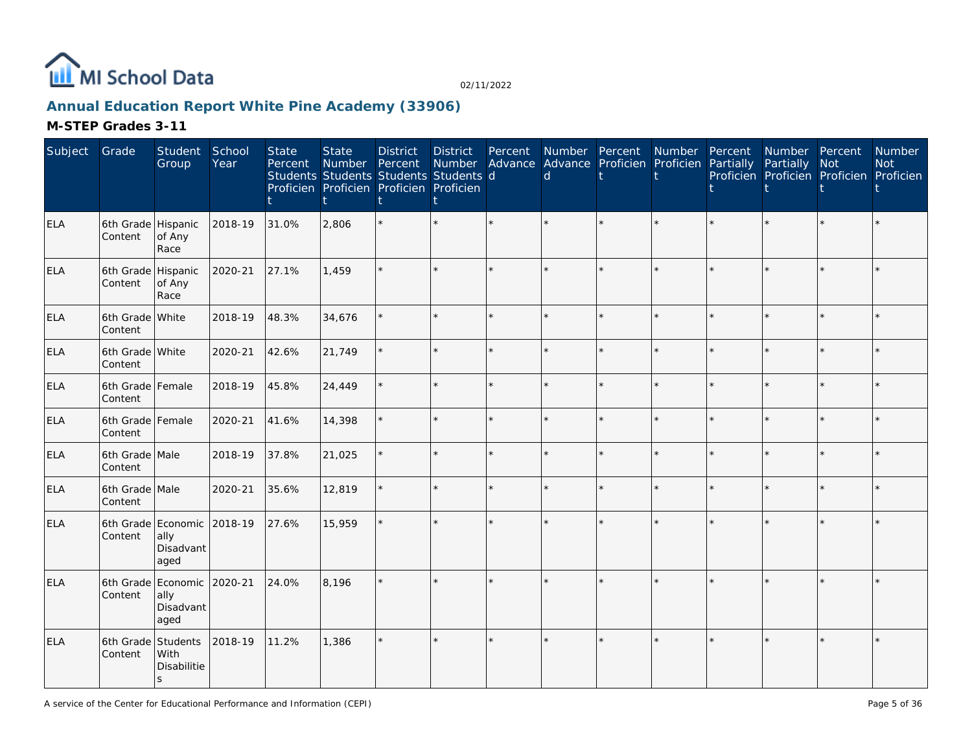

## **Annual Education Report White Pine Academy (33906)**

| Subject    | Grade                         | Student<br>Group                                        | School<br>Year | <b>State</b><br>Percent | <b>State</b><br>Number<br>Students Students Students Students d<br>Proficien Proficien Proficien Proficien | <b>District</b><br>Percent | <b>District</b> | Percent | d | Number Percent Number<br>Number Advance Advance Proficien Proficien Partially |         | Percent | Number Percent<br>Partially Not<br>Proficien Proficien Proficien Proficien |         | Number<br><b>Not</b> |
|------------|-------------------------------|---------------------------------------------------------|----------------|-------------------------|------------------------------------------------------------------------------------------------------------|----------------------------|-----------------|---------|---|-------------------------------------------------------------------------------|---------|---------|----------------------------------------------------------------------------|---------|----------------------|
| <b>ELA</b> | 6th Grade Hispanic<br>Content | of Any<br>Race                                          | 2018-19        | 31.0%                   | 2,806                                                                                                      |                            |                 |         |   |                                                                               |         |         |                                                                            |         |                      |
| <b>ELA</b> | 6th Grade Hispanic<br>Content | of Any<br>Race                                          | 2020-21        | 27.1%                   | 1,459                                                                                                      |                            |                 |         |   |                                                                               |         |         |                                                                            | $\star$ |                      |
| <b>ELA</b> | 6th Grade White<br>Content    |                                                         | 2018-19        | 48.3%                   | 34,676                                                                                                     |                            |                 | $\star$ |   |                                                                               | ÷.      |         |                                                                            | $\star$ |                      |
| <b>ELA</b> | 6th Grade White<br>Content    |                                                         | 2020-21        | 42.6%                   | 21,749                                                                                                     |                            |                 | $\star$ |   |                                                                               | ÷.      |         |                                                                            | $\star$ |                      |
| <b>ELA</b> | 6th Grade Female<br>Content   |                                                         | 2018-19        | 45.8%                   | 24,449                                                                                                     |                            |                 |         |   |                                                                               | ÷.      |         |                                                                            | $\star$ |                      |
| <b>ELA</b> | 6th Grade Female<br>Content   |                                                         | 2020-21        | 41.6%                   | 14,398                                                                                                     |                            |                 |         |   |                                                                               | $\star$ |         |                                                                            | $\star$ |                      |
| <b>ELA</b> | 6th Grade Male<br>Content     |                                                         | 2018-19        | 37.8%                   | 21,025                                                                                                     |                            |                 |         |   |                                                                               | ÷.      |         |                                                                            | $\star$ |                      |
| <b>ELA</b> | 6th Grade Male<br>Content     |                                                         | 2020-21        | 35.6%                   | 12,819                                                                                                     |                            |                 | ÷.      | ÷ |                                                                               | ÷.      | ÷       |                                                                            | $\star$ |                      |
| <b>ELA</b> | Content                       | 6th Grade Economic 2018-19<br>ally<br>Disadvant<br>aged |                | 27.6%                   | 15,959                                                                                                     |                            |                 | ÷.      |   |                                                                               | ÷.      |         |                                                                            | ÷       |                      |
| <b>ELA</b> | Content                       | 6th Grade Economic 2020-21<br>ally<br>Disadvant<br>aged |                | 24.0%                   | 8,196                                                                                                      |                            |                 |         |   |                                                                               |         |         |                                                                            | $\star$ |                      |
| <b>ELA</b> | 6th Grade Students<br>Content | With<br>Disabilitie<br>$\mathsf{s}$                     | 2018-19        | 11.2%                   | 1,386                                                                                                      |                            |                 |         |   |                                                                               | ÷.      |         |                                                                            | $\star$ |                      |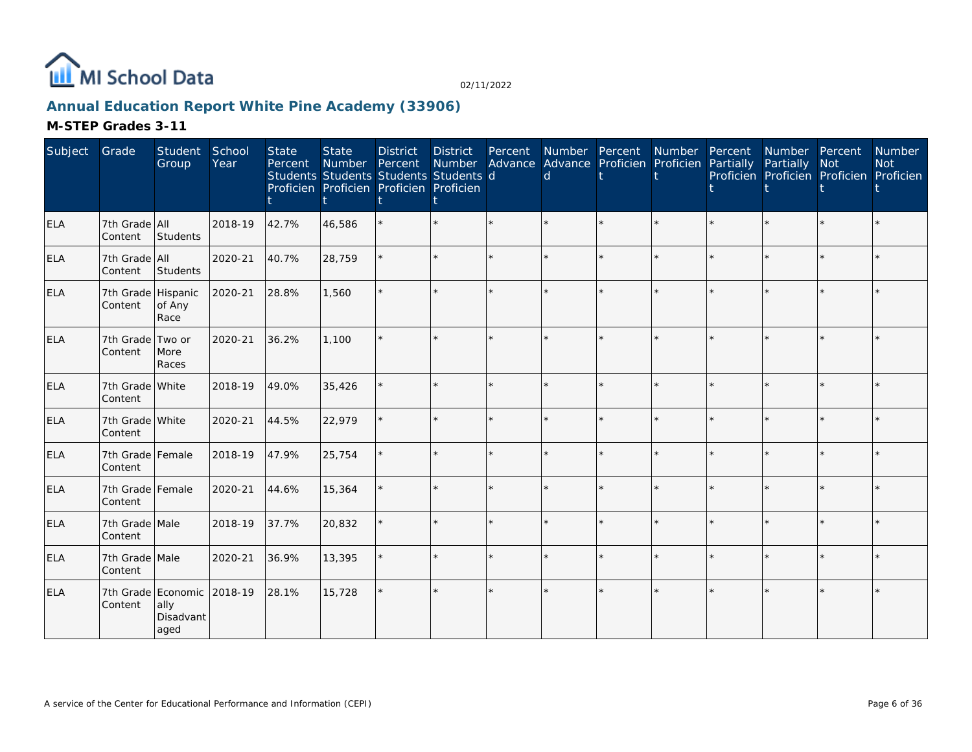

## **Annual Education Report White Pine Academy (33906)**

| Subject    | Grade                         | Student<br>Group          | School<br>Year | <b>State</b><br>Percent | <b>State</b><br>Number Percent | <b>District</b><br>Students Students Students Students d<br>Proficien Proficien Proficien Proficien | <b>District</b><br>Number | Percent | Number Percent<br>Advance Advance Proficien Proficien Partially<br>d | Number Percent |         | Number Percent<br>Partially<br>Proficien Proficien Proficien Proficien | <b>Not</b> | Number<br><b>Not</b> |
|------------|-------------------------------|---------------------------|----------------|-------------------------|--------------------------------|-----------------------------------------------------------------------------------------------------|---------------------------|---------|----------------------------------------------------------------------|----------------|---------|------------------------------------------------------------------------|------------|----------------------|
| <b>ELA</b> | 7th Grade All<br>Content      | Students                  | 2018-19        | 42.7%                   | 46,586                         |                                                                                                     |                           | $\star$ |                                                                      | ÷.             |         |                                                                        | $\star$    |                      |
| ELA        | 7th Grade All<br>Content      | Students                  | 2020-21        | 40.7%                   | 28,759                         |                                                                                                     |                           | ÷.      | à.                                                                   | ÷.             |         |                                                                        | $\star$    |                      |
| ELA        | 7th Grade Hispanic<br>Content | of Any<br>Race            | 2020-21        | 28.8%                   | 1,560                          |                                                                                                     |                           |         |                                                                      |                |         |                                                                        | $\star$    |                      |
| <b>ELA</b> | 7th Grade Two or<br>Content   | More<br>Races             | 2020-21        | 36.2%                   | 1,100                          |                                                                                                     |                           |         |                                                                      |                |         |                                                                        | ÷.         |                      |
| <b>ELA</b> | 7th Grade White<br>Content    |                           | 2018-19        | 49.0%                   | 35,426                         |                                                                                                     |                           | $\star$ | $\star$                                                              | $\star$        | $\star$ |                                                                        | $\star$    |                      |
| <b>ELA</b> | 7th Grade White<br>Content    |                           | 2020-21        | 44.5%                   | 22,979                         |                                                                                                     |                           | $\star$ | $\star$                                                              | $\star$        | ÷       |                                                                        | $\star$    |                      |
| <b>ELA</b> | 7th Grade Female<br>Content   |                           | 2018-19        | 47.9%                   | 25,754                         |                                                                                                     |                           | $\star$ |                                                                      | $\star$        |         |                                                                        | $\star$    |                      |
| <b>ELA</b> | 7th Grade Female<br>Content   |                           | 2020-21        | 44.6%                   | 15,364                         |                                                                                                     |                           | $\star$ | ÷                                                                    | $\star$        | $\star$ |                                                                        | $\star$    |                      |
| <b>ELA</b> | 7th Grade Male<br>Content     |                           | 2018-19        | 37.7%                   | 20,832                         |                                                                                                     |                           | $\star$ |                                                                      | $\star$        |         |                                                                        | $\star$    |                      |
| <b>ELA</b> | 7th Grade Male<br>Content     |                           | 2020-21        | 36.9%                   | 13,395                         |                                                                                                     |                           | $\star$ | $\star$                                                              | $\star$        | ÷       |                                                                        | $\star$    |                      |
| <b>ELA</b> | 7th Grade Economic<br>Content | ally<br>Disadvant<br>aged | 2018-19        | 28.1%                   | 15,728                         |                                                                                                     |                           | $\star$ |                                                                      | $\star$        |         |                                                                        | $\star$    |                      |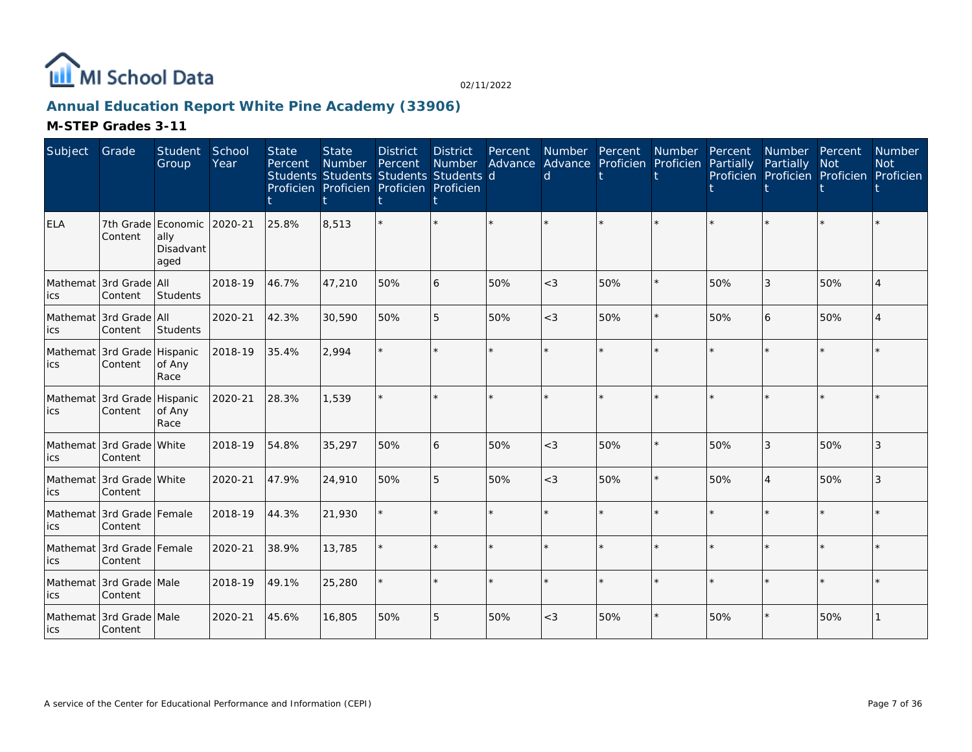

## **Annual Education Report White Pine Academy (33906)**

| Subject    | Grade                                  | Student<br>Group                                | School<br>Year | <b>State</b><br>Percent | <b>State</b><br>Number | <b>District</b><br>Percent<br>Students Students Students Students d<br>Proficien Proficien Proficien Proficien | <b>District</b><br><b>Number</b> | Percent<br>Advance | Number Percent<br>d | Advance Proficien | Number<br>Proficien | Percent<br>Partially | Number Percent<br>Partially | <b>Not</b><br>Proficien Proficien Proficien | Number<br><b>Not</b><br>Proficien |
|------------|----------------------------------------|-------------------------------------------------|----------------|-------------------------|------------------------|----------------------------------------------------------------------------------------------------------------|----------------------------------|--------------------|---------------------|-------------------|---------------------|----------------------|-----------------------------|---------------------------------------------|-----------------------------------|
| <b>ELA</b> | Content                                | 7th Grade Economic<br>ally<br>Disadvant<br>aged | 2020-21        | 25.8%                   | 8,513                  |                                                                                                                |                                  |                    |                     |                   |                     |                      |                             |                                             |                                   |
| ics        | Mathemat 3rd Grade All<br>Content      | Students                                        | 2018-19        | 46.7%                   | 47,210                 | 50%                                                                                                            | 6                                | 50%                | $<$ 3               | 50%               | $\star$             | 50%                  | 3                           | 50%                                         |                                   |
| ics        | Mathemat 3rd Grade All<br>Content      | Students                                        | 2020-21        | 42.3%                   | 30,590                 | 50%                                                                                                            | 5                                | 50%                | $<$ 3               | 50%               | $\star$             | 50%                  | 6                           | 50%                                         |                                   |
| ics        | Mathemat 3rd Grade Hispanic<br>Content | of Any<br>Race                                  | 2018-19        | 35.4%                   | 2,994                  |                                                                                                                |                                  |                    |                     |                   |                     |                      |                             | $\star$                                     |                                   |
| ics        | Mathemat 3rd Grade Hispanic<br>Content | of Any<br>Race                                  | 2020-21        | 28.3%                   | 1,539                  |                                                                                                                |                                  |                    |                     |                   |                     |                      | $\star$                     |                                             |                                   |
| ics        | Mathemat 3rd Grade White<br>Content    |                                                 | 2018-19        | 54.8%                   | 35,297                 | 50%                                                                                                            | 6                                | 50%                | $<$ 3               | 50%               | $\star$             | 50%                  | 3                           | 50%                                         | 3                                 |
| ics        | Mathemat 3rd Grade White<br>Content    |                                                 | 2020-21        | 47.9%                   | 24,910                 | 50%                                                                                                            | 5                                | 50%                | $\lt$ 3             | 50%               | $\star$             | 50%                  | $\overline{4}$              | 50%                                         | 3                                 |
| ics        | Mathemat 3rd Grade Female<br>Content   |                                                 | 2018-19        | 44.3%                   | 21,930                 |                                                                                                                |                                  | $\star$            |                     |                   | $\star$             |                      | $\star$                     | $\star$                                     |                                   |
| ics        | Mathemat 3rd Grade Female<br>Content   |                                                 | 2020-21        | 38.9%                   | 13,785                 |                                                                                                                |                                  | $\star$            |                     |                   | $\star$             |                      | ÷.                          | $\star$                                     |                                   |
| ics        | Mathemat 3rd Grade Male<br>Content     |                                                 | 2018-19        | 49.1%                   | 25,280                 |                                                                                                                | ÷.                               | $\star$            | ÷                   | ÷.                | $\star$             | ÷                    | $\star$                     | $\star$                                     |                                   |
| lics       | Mathemat 3rd Grade Male<br>Content     |                                                 | 2020-21        | 45.6%                   | 16,805                 | 50%                                                                                                            | 5                                | 50%                | $<$ 3               | 50%               |                     | 50%                  | $\star$                     | 50%                                         |                                   |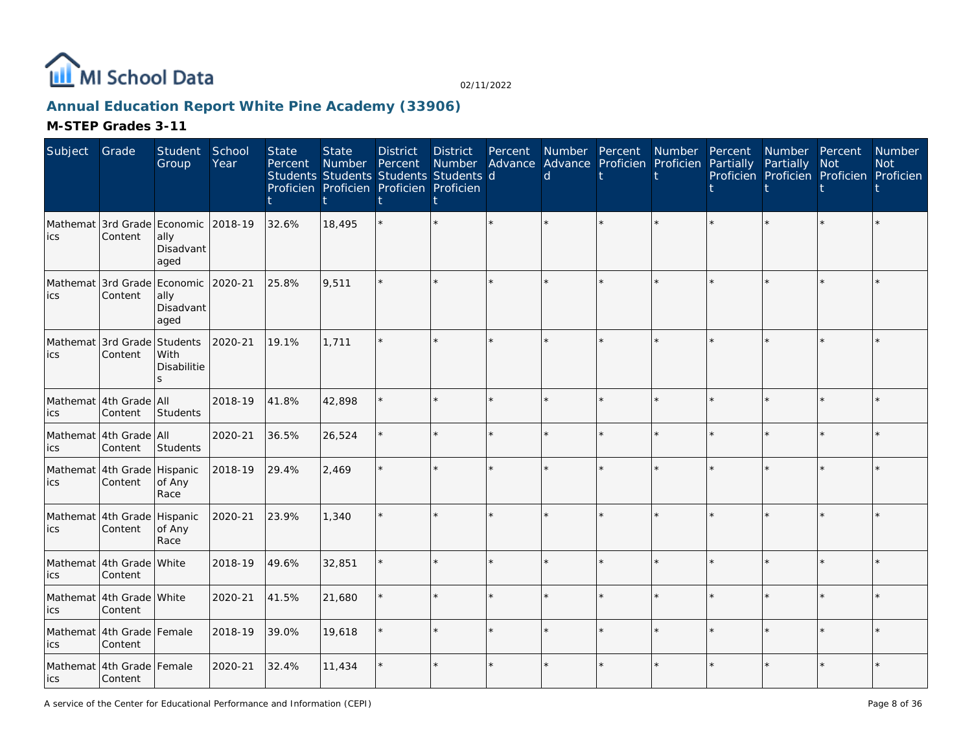

## **Annual Education Report White Pine Academy (33906)**

| Subject                            | Grade                                  | Student<br>Group           | School<br>Year | <b>State</b><br>Percent | <b>State</b><br><b>Number</b><br>Students Students Students Students d<br>Proficien Proficien Proficien Proficien | <b>District</b><br>Percent | <b>District</b> | Percent | <sub>d</sub> | Number Percent<br>Number Advance Advance Proficien Proficien Partially | Number  | Percent | Number Percent<br>Partially<br>Proficien Proficien Proficien Proficien | Not | <b>Number</b><br><b>Not</b> |
|------------------------------------|----------------------------------------|----------------------------|----------------|-------------------------|-------------------------------------------------------------------------------------------------------------------|----------------------------|-----------------|---------|--------------|------------------------------------------------------------------------|---------|---------|------------------------------------------------------------------------|-----|-----------------------------|
| ics                                | Mathemat 3rd Grade Economic<br>Content | ally<br>Disadvant<br>aged  | 2018-19        | 32.6%                   | 18,495                                                                                                            |                            |                 |         |              |                                                                        |         |         |                                                                        |     |                             |
| ics                                | Mathemat 3rd Grade Economic<br>Content | ally<br>Disadvant<br>aged  | 2020-21        | 25.8%                   | 9,511                                                                                                             |                            |                 |         |              |                                                                        |         |         |                                                                        |     |                             |
| Mathemat 3rd Grade Students<br>ics | Content                                | With<br><b>Disabilitie</b> | 2020-21        | 19.1%                   | 1,711                                                                                                             |                            |                 |         |              |                                                                        |         |         |                                                                        |     |                             |
| ics                                | Mathemat 4th Grade All<br>Content      | Students                   | 2018-19        | 41.8%                   | 42,898                                                                                                            |                            | ÷.              |         |              |                                                                        | $\star$ |         |                                                                        |     |                             |
| ics                                | Mathemat 4th Grade All<br>Content      | Students                   | 2020-21        | 36.5%                   | 26,524                                                                                                            |                            | ÷.              | ÷.      |              | ÷.                                                                     | $\star$ |         |                                                                        |     |                             |
| lics                               | Mathemat 4th Grade Hispanic<br>Content | of Any<br>Race             | 2018-19        | 29.4%                   | 2,469                                                                                                             |                            | $\star$         |         |              | $\star$                                                                |         |         |                                                                        |     |                             |
| ics                                | Mathemat 4th Grade Hispanic<br>Content | of Any<br>Race             | 2020-21        | 23.9%                   | 1,340                                                                                                             |                            |                 |         |              |                                                                        |         |         |                                                                        |     |                             |
| ics                                | Mathemat 4th Grade White<br>Content    |                            | 2018-19        | 49.6%                   | 32,851                                                                                                            |                            | $\star$         | ÷.      |              | ÷.                                                                     | ÷       |         |                                                                        |     |                             |
| ics                                | Mathemat 4th Grade White<br>Content    |                            | 2020-21        | 41.5%                   | 21,680                                                                                                            |                            | $\star$         |         |              | ¥.                                                                     |         |         |                                                                        |     |                             |
| ics                                | Mathemat 4th Grade Female<br>Content   |                            | 2018-19        | 39.0%                   | 19,618                                                                                                            |                            | ÷.              | $\star$ |              | ÷.                                                                     | $\star$ |         |                                                                        |     |                             |
| lics                               | Mathemat 4th Grade Female<br>Content   |                            | 2020-21        | 32.4%                   | 11,434                                                                                                            |                            | $\star$         |         |              | $\star$                                                                |         |         |                                                                        |     |                             |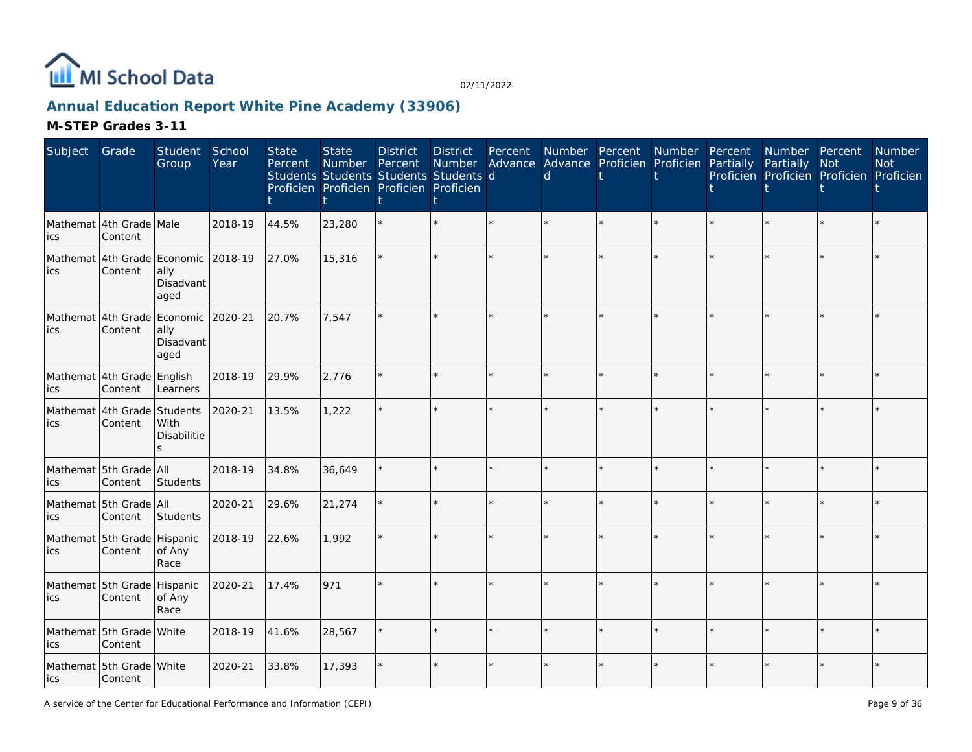

## **Annual Education Report White Pine Academy (33906)**

| Subject | Grade                                  | Student<br>Group                                                 | School<br>Year | <b>State</b><br>Percent | <b>State</b><br>Number | <b>District</b><br>Percent<br>Students Students Students Students d<br>Proficien Proficien Proficien Proficien | <b>District</b><br>Number<br>t | Percent | $\mathsf{d}$ | Number Percent Number<br>Advance Advance Proficien Proficien Partially | Percent | Number Percent<br>Partially | Not<br>Proficien Proficien Proficien Proficien | <b>Number</b><br><b>Not</b> |
|---------|----------------------------------------|------------------------------------------------------------------|----------------|-------------------------|------------------------|----------------------------------------------------------------------------------------------------------------|--------------------------------|---------|--------------|------------------------------------------------------------------------|---------|-----------------------------|------------------------------------------------|-----------------------------|
| ics     | Mathemat 4th Grade Male<br>Content     |                                                                  | 2018-19        | 44.5%                   | 23,280                 |                                                                                                                |                                |         |              |                                                                        |         |                             |                                                |                             |
| ics     | Content                                | Mathemat 4th Grade Economic 2018-19<br>ally<br>Disadvant<br>aged |                | 27.0%                   | 15,316                 |                                                                                                                | $\star$                        |         |              |                                                                        |         |                             |                                                |                             |
| ics     | Content                                | Mathemat 4th Grade Economic<br>ally<br>Disadvant<br>aged         | 2020-21        | 20.7%                   | 7,547                  |                                                                                                                | ÷.                             |         |              |                                                                        |         |                             |                                                |                             |
| ics     | Mathemat 4th Grade English<br>Content  | Learners                                                         | 2018-19        | 29.9%                   | 2.776                  |                                                                                                                | ×                              |         |              |                                                                        |         |                             |                                                |                             |
| ics     | Mathemat 4th Grade Students<br>Content | With<br>Disabilitie<br>$\mathbf{S}$                              | 2020-21        | 13.5%                   | 1,222                  |                                                                                                                | $\star$                        |         |              |                                                                        |         |                             | $\star$                                        |                             |
| ics     | Mathemat 5th Grade All<br>Content      | Students                                                         | 2018-19        | 34.8%                   | 36,649                 |                                                                                                                | $\star$                        |         |              |                                                                        |         |                             |                                                |                             |
| ics     | Mathemat 5th Grade All<br>Content      | Students                                                         | 2020-21        | 29.6%                   | 21,274                 |                                                                                                                | $\star$                        |         |              |                                                                        |         |                             |                                                |                             |
| ics     | Mathemat 5th Grade Hispanic<br>Content | of Any<br>Race                                                   | 2018-19        | 22.6%                   | 1,992                  |                                                                                                                | k.                             |         |              |                                                                        |         |                             |                                                |                             |
| ics     | Mathemat 5th Grade Hispanic<br>Content | of Any<br>Race                                                   | 2020-21        | 17.4%                   | 971                    |                                                                                                                | é.                             |         |              |                                                                        |         |                             |                                                |                             |
| ics     | Mathemat 5th Grade White<br>Content    |                                                                  | 2018-19        | 41.6%                   | 28,567                 |                                                                                                                | ÷.                             |         |              |                                                                        |         |                             | $\star$                                        |                             |
| lics    | Mathemat 5th Grade White<br>Content    |                                                                  | 2020-21        | 33.8%                   | 17,393                 |                                                                                                                | $\star$                        |         |              |                                                                        |         |                             |                                                |                             |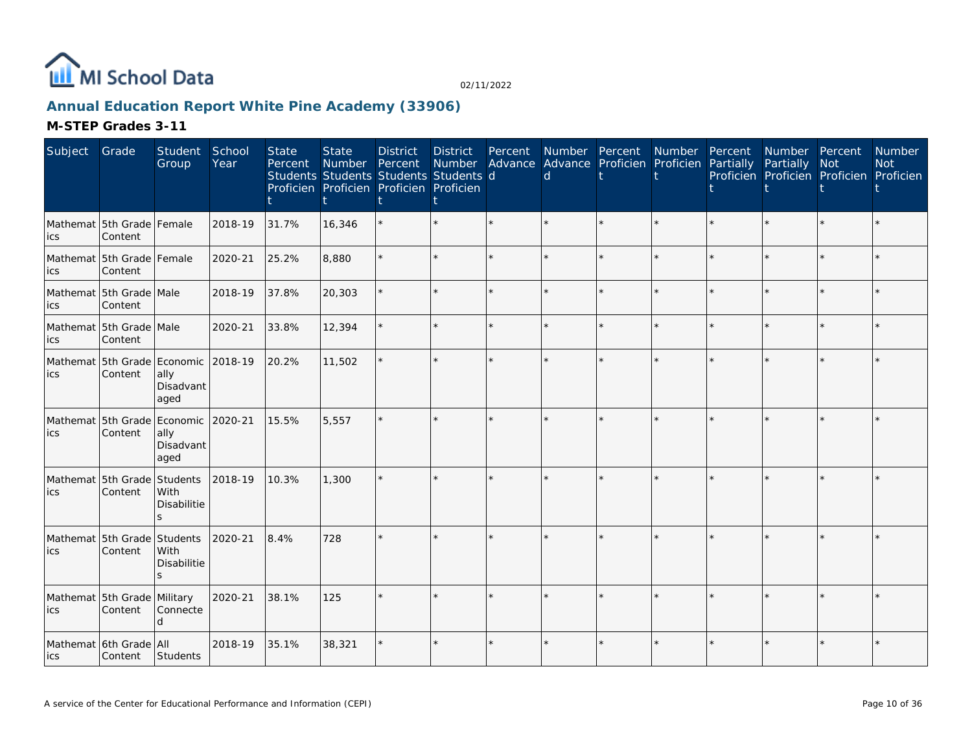

## **Annual Education Report White Pine Academy (33906)**

| Subject | Grade                                          | Student<br>Group          | School<br>Year | <b>State</b><br>Percent | <b>State</b><br>Number<br>Students Students Students Students d<br>Proficien Proficien Proficien Proficien | <b>District</b><br>Percent | <b>District</b><br>Number | Percent | d | Number Percent<br>Advance Advance Proficien Proficien | Number  | Percent<br>Partially | Number Percent<br>Partially | Not<br>Proficien Proficien Proficien Proficien | Number<br><b>Not</b> |
|---------|------------------------------------------------|---------------------------|----------------|-------------------------|------------------------------------------------------------------------------------------------------------|----------------------------|---------------------------|---------|---|-------------------------------------------------------|---------|----------------------|-----------------------------|------------------------------------------------|----------------------|
| lics    | Mathemat 5th Grade Female<br>Content           |                           | 2018-19        | 31.7%                   | 16,346                                                                                                     |                            | $\star$                   |         |   | $\star$                                               |         |                      | $\star$                     |                                                |                      |
| lics    | Mathemat 5th Grade Female<br>Content           |                           | 2020-21        | 25.2%                   | 8,880                                                                                                      |                            | $\star$                   |         |   | $\star$                                               |         |                      | $\star$                     |                                                |                      |
| lics    | Mathemat 5th Grade Male<br>Content             |                           | 2018-19        | 37.8%                   | 20,303                                                                                                     |                            | $\star$                   |         |   | $\star$                                               | $\star$ |                      | $\star$                     | $\star$                                        |                      |
| lics    | Mathemat 5th Grade Male<br>Content             |                           | 2020-21        | 33.8%                   | 12,394                                                                                                     |                            | ÷.                        |         |   | $\star$                                               | $\star$ |                      | $\star$                     | $\star$                                        |                      |
| lics    | Mathemat 5th Grade Economic 2018-19<br>Content | ally<br>Disadvant<br>aged |                | 20.2%                   | 11,502                                                                                                     |                            | $\star$                   | ÷.      |   | $\star$                                               | ÷.      |                      | ÷.                          | ÷.                                             |                      |
| lics    | Mathemat 5th Grade Economic 2020-21<br>Content | ally<br>Disadvant<br>aged |                | 15.5%                   | 5,557                                                                                                      |                            |                           |         |   |                                                       |         |                      |                             |                                                |                      |
| lics    | Mathemat 5th Grade Students<br>Content         | With<br>Disabilitie       | 2018-19        | 10.3%                   | 1,300                                                                                                      |                            | ÷.                        |         |   | ÷.                                                    |         |                      | $\star$                     | ÷.                                             |                      |
| lics    | Mathemat 5th Grade Students<br>Content         | With<br>Disabilitie<br>S. | 2020-21        | 8.4%                    | 728                                                                                                        |                            | $\star$                   |         |   | $\star$                                               | ÷.      |                      | ¥.                          | ÷.                                             |                      |
| lics    | Mathemat 5th Grade Military<br>Content         | Connecte                  | 2020-21        | 38.1%                   | 125                                                                                                        |                            |                           |         |   |                                                       | $\star$ |                      |                             | $\star$                                        |                      |
| lics    | Mathemat 6th Grade All<br>Content              | Students                  | 2018-19        | 35.1%                   | 38,321                                                                                                     |                            | $\star$                   |         |   | $\star$                                               |         |                      | $\star$                     |                                                |                      |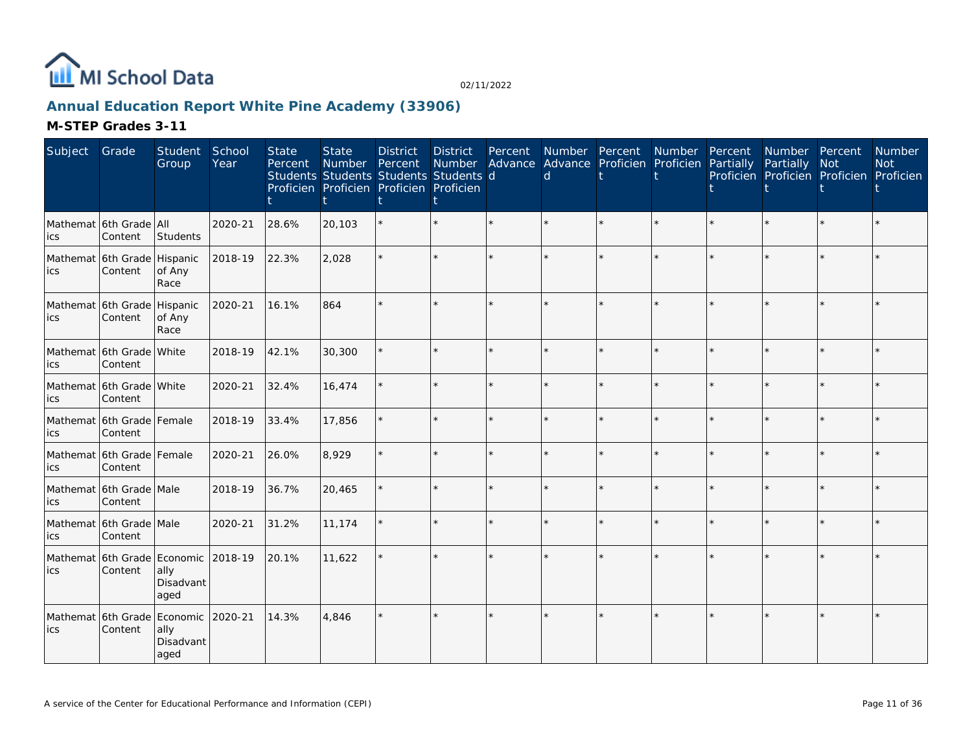

## **Annual Education Report White Pine Academy (33906)**

| Subject                             | Grade                                          | Student<br>Group          | School<br>Year | <b>State</b><br>Percent | <b>State</b><br>Number<br>Students Students Students Students d<br>Proficien Proficien Proficien Proficien | <b>District</b><br>Percent | <b>District</b><br>Number | Percent | d | Number Percent<br>Advance Advance Proficien Proficien | Number  | Percent<br>Partially | Number Percent<br>Partially<br>Proficien Proficien Proficien Proficien | <b>Not</b> | Number<br><b>Not</b> |
|-------------------------------------|------------------------------------------------|---------------------------|----------------|-------------------------|------------------------------------------------------------------------------------------------------------|----------------------------|---------------------------|---------|---|-------------------------------------------------------|---------|----------------------|------------------------------------------------------------------------|------------|----------------------|
| lics                                | Mathemat 6th Grade All<br>Content              | Students                  | 2020-21        | 28.6%                   | 20,103                                                                                                     |                            |                           |         |   |                                                       |         |                      |                                                                        |            |                      |
| Mathemat 6th Grade Hispanic<br>lics | Content                                        | of Any<br>Race            | 2018-19        | 22.3%                   | 2,028                                                                                                      |                            |                           |         |   |                                                       |         |                      |                                                                        | $\star$    |                      |
| lics                                | Mathemat 6th Grade Hispanic<br>Content         | of Any<br>Race            | 2020-21        | 16.1%                   | 864                                                                                                        |                            |                           |         |   |                                                       |         |                      |                                                                        | ÷.         |                      |
| lics                                | Mathemat 16th Grade   White<br>Content         |                           | 2018-19        | 42.1%                   | 30,300                                                                                                     |                            |                           |         |   |                                                       | $\star$ |                      |                                                                        | $\star$    |                      |
| lics                                | Mathemat 6th Grade White<br>Content            |                           | 2020-21        | 32.4%                   | 16,474                                                                                                     |                            |                           |         |   |                                                       |         |                      |                                                                        | $\star$    |                      |
| lics                                | Mathemat 6th Grade Female<br>Content           |                           | 2018-19        | 33.4%                   | 17,856                                                                                                     |                            |                           |         |   |                                                       |         |                      |                                                                        | $\star$    |                      |
| lics                                | Mathemat 6th Grade Female<br>Content           |                           | 2020-21        | 26.0%                   | 8,929                                                                                                      |                            |                           |         |   |                                                       | ÷.      |                      |                                                                        | $\star$    |                      |
| lics                                | Mathemat 6th Grade Male<br>Content             |                           | 2018-19        | 36.7%                   | 20,465                                                                                                     |                            |                           |         |   |                                                       | $\star$ |                      |                                                                        | $\star$    |                      |
| ics                                 | Mathemat 6th Grade Male<br>Content             |                           | 2020-21        | 31.2%                   | 11,174                                                                                                     |                            |                           |         |   |                                                       | $\star$ |                      |                                                                        | $\star$    |                      |
| lics                                | Mathemat 6th Grade Economic 2018-19<br>Content | ally<br>Disadvant<br>aged |                | 20.1%                   | 11,622                                                                                                     |                            |                           |         |   |                                                       |         |                      |                                                                        |            |                      |
| ics                                 | Mathemat 6th Grade Economic 2020-21<br>Content | ally<br>Disadvant<br>aged |                | 14.3%                   | 4,846                                                                                                      |                            |                           |         |   |                                                       |         |                      |                                                                        |            |                      |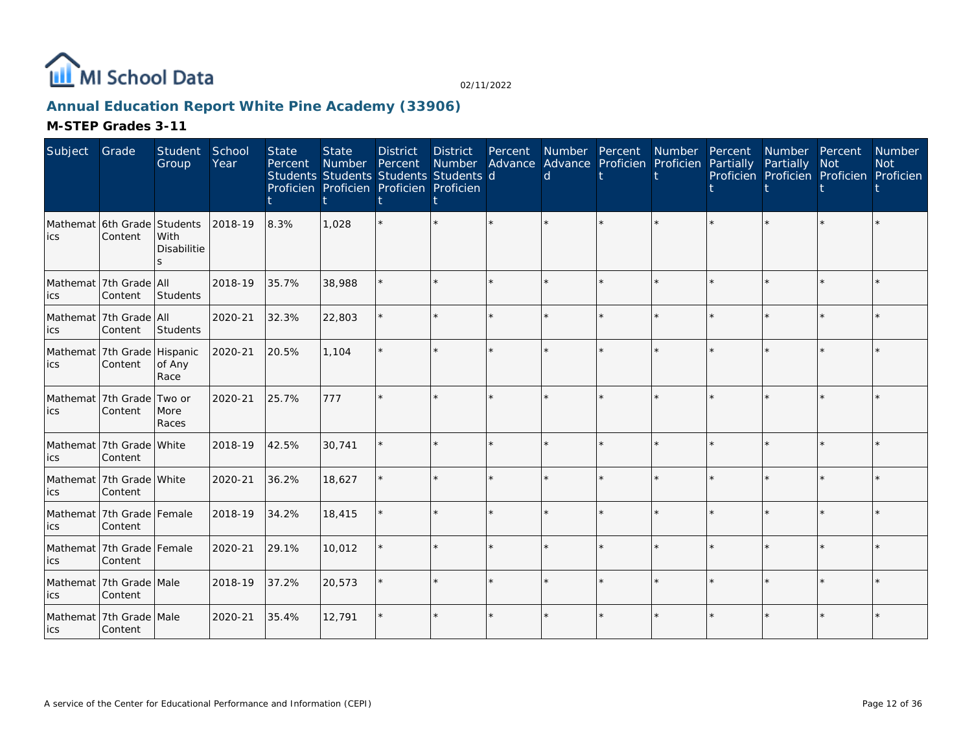

## **Annual Education Report White Pine Academy (33906)**

| Subject                           | Grade                                  | Student<br>Group    | School<br>Year | <b>State</b><br>Percent | <b>State</b><br>Number Percent<br>Students Students Students Students d<br>Proficien Proficien Proficien Proficien | <b>District</b> | <b>District</b> | Percent | Number Advance Advance Proficien Proficien<br>d | Number Percent | Number  | Percent<br>Partially | Number Percent<br>Partially<br>Proficien Proficien Proficien Proficien | <b>Not</b> | Number<br><b>Not</b> |
|-----------------------------------|----------------------------------------|---------------------|----------------|-------------------------|--------------------------------------------------------------------------------------------------------------------|-----------------|-----------------|---------|-------------------------------------------------|----------------|---------|----------------------|------------------------------------------------------------------------|------------|----------------------|
| lics                              | Mathemat 6th Grade Students<br>Content | With<br>Disabilitie | 2018-19        | 8.3%                    | 1,028                                                                                                              |                 |                 |         |                                                 |                |         |                      |                                                                        |            |                      |
| ics                               | Mathemat   7th Grade   All<br>Content  | Students            | 2018-19        | 35.7%                   | 38,988                                                                                                             |                 |                 |         |                                                 |                | $\star$ |                      |                                                                        | $\star$    |                      |
| lics                              | Mathemat 7th Grade All<br>Content      | Students            | 2020-21        | 32.3%                   | 22,803                                                                                                             |                 |                 | $\star$ | ÷                                               |                | $\star$ |                      |                                                                        | $\star$    |                      |
| lics                              | Mathemat 7th Grade Hispanic<br>Content | of Any<br>Race      | 2020-21        | 20.5%                   | 1,104                                                                                                              |                 |                 |         |                                                 |                |         |                      |                                                                        |            |                      |
| Mathemat 7th Grade Two or<br>lics | Content                                | More<br>Races       | 2020-21        | 25.7%                   | 777                                                                                                                |                 |                 |         |                                                 |                |         |                      |                                                                        |            |                      |
| Mathemat 7th Grade White<br>lics  | Content                                |                     | 2018-19        | 42.5%                   | 30,741                                                                                                             |                 |                 |         |                                                 |                |         |                      |                                                                        | $\star$    |                      |
| ics                               | Mathemat 7th Grade White<br>Content    |                     | 2020-21        | 36.2%                   | 18,627                                                                                                             |                 |                 |         |                                                 |                |         |                      |                                                                        | $\star$    |                      |
| lics                              | Mathemat 7th Grade Female<br>Content   |                     | 2018-19        | 34.2%                   | 18,415                                                                                                             |                 |                 |         |                                                 |                |         |                      |                                                                        | $\star$    |                      |
| ics                               | Mathemat 7th Grade Female<br>Content   |                     | 2020-21        | 29.1%                   | 10,012                                                                                                             |                 |                 |         |                                                 |                | $\star$ |                      |                                                                        | $\star$    |                      |
| lics                              | Mathemat 7th Grade Male<br>Content     |                     | 2018-19        | 37.2%                   | 20,573                                                                                                             |                 |                 | $\star$ |                                                 |                | $\star$ |                      |                                                                        | $\star$    |                      |
| <b>ics</b>                        | Mathemat 7th Grade Male<br>Content     |                     | 2020-21        | 35.4%                   | 12,791                                                                                                             |                 |                 |         |                                                 |                |         |                      |                                                                        |            |                      |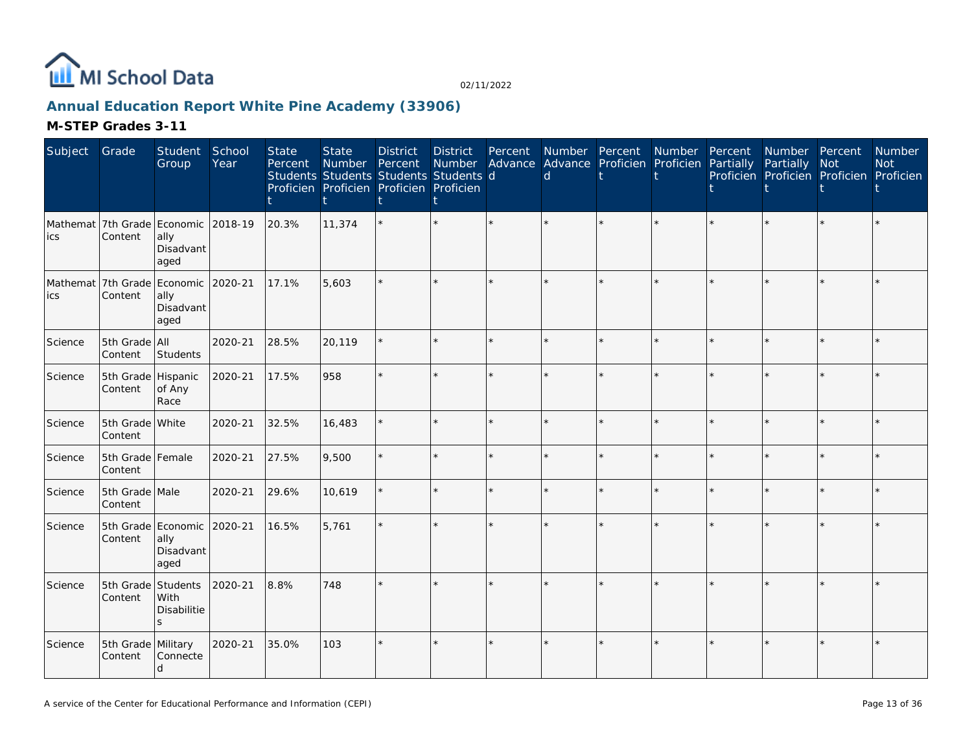

## **Annual Education Report White Pine Academy (33906)**

| Subject | Grade                         | Student<br>Group                                                 | School<br>Year | <b>State</b><br>Percent | <b>State</b><br>Number | <b>District</b><br>Percent<br>Students Students Students Students d<br>Proficien Proficien Proficien Proficien | <b>District</b><br>Number<br>İ | Percent | $\mathsf{d}$ | Number Percent Number<br>Advance Advance Proficien Proficien Partially |         | Percent | Number Percent<br>Partially | Not<br>Proficien Proficien Proficien Proficien | <b>Number</b><br><b>Not</b> |
|---------|-------------------------------|------------------------------------------------------------------|----------------|-------------------------|------------------------|----------------------------------------------------------------------------------------------------------------|--------------------------------|---------|--------------|------------------------------------------------------------------------|---------|---------|-----------------------------|------------------------------------------------|-----------------------------|
| ics     | Content                       | Mathemat 7th Grade Economic 2018-19<br>ally<br>Disadvant<br>aged |                | 20.3%                   | 11,374                 |                                                                                                                |                                |         |              |                                                                        |         |         |                             |                                                |                             |
| ics     | Content                       | Mathemat 7th Grade Economic 2020-21<br>ally<br>Disadvant<br>aged |                | 17.1%                   | 5,603                  |                                                                                                                | $\star$                        |         |              |                                                                        |         |         |                             |                                                |                             |
| Science | 5th Grade All<br>Content      | Students                                                         | 2020-21        | 28.5%                   | 20,119                 |                                                                                                                | $\star$                        |         |              |                                                                        |         |         |                             |                                                |                             |
| Science | 5th Grade Hispanic<br>Content | of Any<br>Race                                                   | 2020-21        | 17.5%                   | 958                    |                                                                                                                | ÷.                             |         |              |                                                                        |         |         |                             |                                                |                             |
| Science | 5th Grade White<br>Content    |                                                                  | 2020-21        | 32.5%                   | 16,483                 |                                                                                                                | ÷.                             |         |              |                                                                        |         |         |                             | $\star$                                        |                             |
| Science | 5th Grade Female<br>Content   |                                                                  | 2020-21        | 27.5%                   | 9,500                  |                                                                                                                | $\star$                        | $\star$ |              |                                                                        | $\star$ |         |                             | $\star$                                        |                             |
| Science | 5th Grade Male<br>Content     |                                                                  | 2020-21        | 29.6%                   | 10,619                 |                                                                                                                | ÷.                             |         |              |                                                                        |         |         |                             | $\Phi$                                         |                             |
| Science | Content                       | 5th Grade Economic 2020-21<br>ally<br>Disadvant<br>aged          |                | 16.5%                   | 5,761                  |                                                                                                                |                                |         |              |                                                                        |         |         |                             |                                                |                             |
| Science | 5th Grade Students<br>Content | With<br>Disabilitie<br>$\mathsf{S}$                              | 2020-21        | 8.8%                    | 748                    |                                                                                                                | $\star$                        |         |              |                                                                        |         |         |                             |                                                |                             |
| Science | 5th Grade Military<br>Content | Connecte<br>d                                                    | 2020-21        | 35.0%                   | 103                    |                                                                                                                | $\star$                        |         |              |                                                                        |         |         |                             |                                                |                             |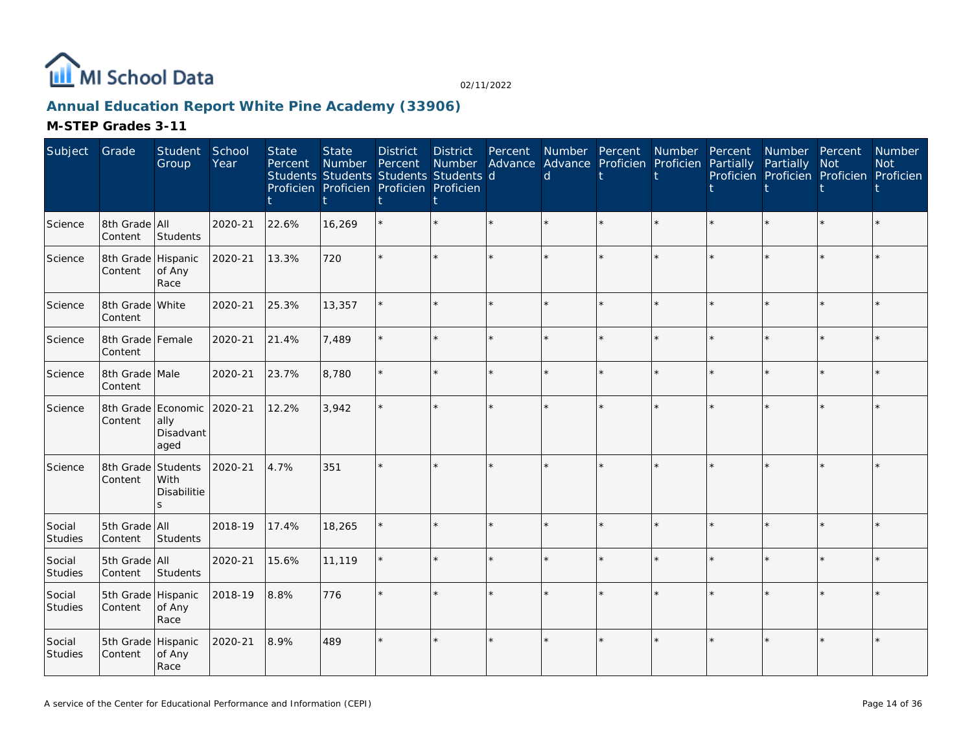

## **Annual Education Report White Pine Academy (33906)**

| Subject                  | Grade                         | Student<br>Group                                        | School<br>Year | <b>State</b><br>Percent | <b>State</b><br>Number | <b>District</b><br>Percent<br>Students Students Students Students d<br>Proficien Proficien Proficien Proficien | <b>District</b><br>Number<br>t | Percent | $\mathsf{d}$ | Number Percent Number<br>Advance Advance Proficien Proficien | Percent<br>Partially | Number Percent<br>Partially | <b>Not</b><br>Proficien Proficien Proficien Proficien | <b>Number</b><br><b>Not</b> |
|--------------------------|-------------------------------|---------------------------------------------------------|----------------|-------------------------|------------------------|----------------------------------------------------------------------------------------------------------------|--------------------------------|---------|--------------|--------------------------------------------------------------|----------------------|-----------------------------|-------------------------------------------------------|-----------------------------|
| Science                  | 8th Grade All<br>Content      | Students                                                | 2020-21        | 22.6%                   | 16,269                 |                                                                                                                | $\star$                        | $\star$ |              |                                                              |                      |                             | $\star$                                               |                             |
| Science                  | 8th Grade Hispanic<br>Content | of Any<br>Race                                          | 2020-21        | 13.3%                   | 720                    |                                                                                                                | ÷.                             |         |              |                                                              |                      |                             |                                                       |                             |
| Science                  | 8th Grade White<br>Content    |                                                         | 2020-21        | 25.3%                   | 13,357                 |                                                                                                                | ÷.                             |         |              |                                                              |                      |                             | ÷                                                     |                             |
| Science                  | 8th Grade Female<br>Content   |                                                         | 2020-21        | 21.4%                   | 7,489                  |                                                                                                                | $\star$                        | $\star$ |              |                                                              |                      |                             | $\star$                                               |                             |
| Science                  | 8th Grade Male<br>Content     |                                                         | 2020-21        | 23.7%                   | 8,780                  |                                                                                                                | $\star$                        |         |              |                                                              |                      |                             | $\star$                                               |                             |
| Science                  | Content                       | 8th Grade Economic 2020-21<br>ally<br>Disadvant<br>aged |                | 12.2%                   | 3,942                  |                                                                                                                | k.                             |         |              |                                                              |                      |                             |                                                       |                             |
| Science                  | Content                       | 8th Grade Students<br><b>With</b><br>Disabilitie<br>S.  | 2020-21        | 4.7%                    | 351                    |                                                                                                                | ÷.                             |         |              |                                                              |                      |                             |                                                       |                             |
| Social<br><b>Studies</b> | 5th Grade All<br>Content      | Students                                                | 2018-19        | 17.4%                   | 18,265                 |                                                                                                                | ÷.                             |         |              |                                                              |                      |                             |                                                       |                             |
| Social<br>Studies        | 5th Grade All<br>Content      | Students                                                | 2020-21        | 15.6%                   | 11,119                 |                                                                                                                | $\star$                        |         |              |                                                              |                      |                             | $\star$                                               |                             |
| Social<br>Studies        | 5th Grade Hispanic<br>Content | of Any<br>Race                                          | 2018-19        | 8.8%                    | 776                    |                                                                                                                | $\star$                        |         |              |                                                              |                      |                             |                                                       |                             |
| Social<br>Studies        | 5th Grade Hispanic<br>Content | of Any<br>Race                                          | 2020-21        | 8.9%                    | 489                    |                                                                                                                | $\star$                        |         |              |                                                              |                      |                             |                                                       |                             |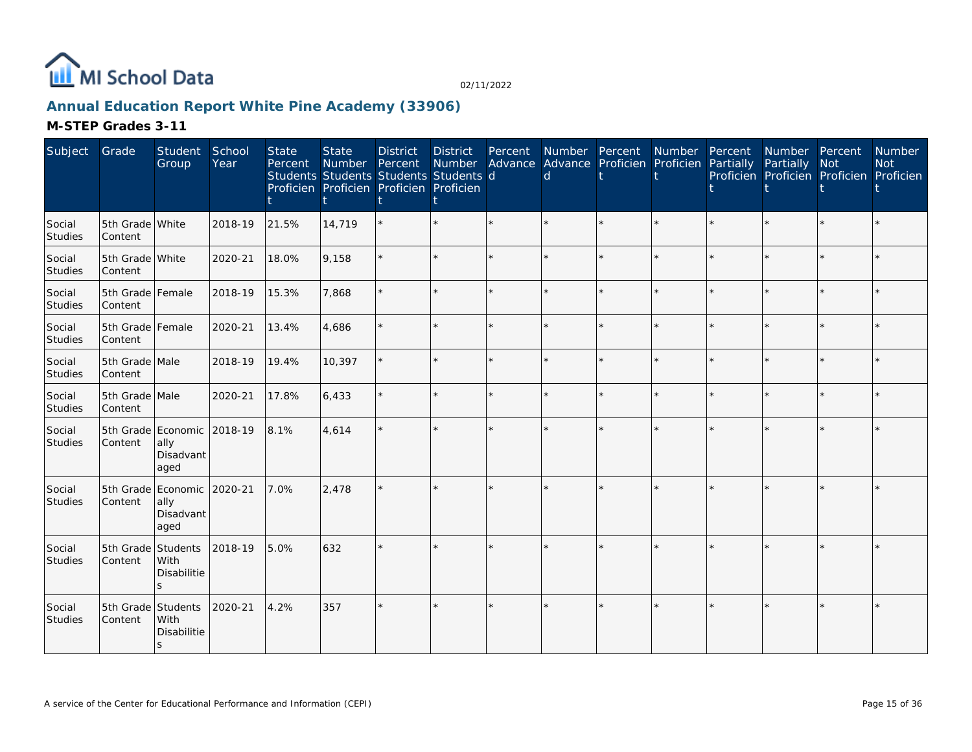

## **Annual Education Report White Pine Academy (33906)**

| Subject           | Grade                         | Student<br>Group                                        | School<br>Year | <b>State</b><br>Percent | <b>State</b><br>Number<br>Students Students Students Students d<br>Proficien Proficien Proficien Proficien | <b>District</b><br>Percent | <b>District</b> | Percent | <sub>d</sub> | Number Percent<br>Number Advance Advance Proficien Proficien | Number  | Percent<br>Partially | Number Percent<br>Partially | Not<br>Proficien Proficien Proficien Proficien | Number<br><b>Not</b> |
|-------------------|-------------------------------|---------------------------------------------------------|----------------|-------------------------|------------------------------------------------------------------------------------------------------------|----------------------------|-----------------|---------|--------------|--------------------------------------------------------------|---------|----------------------|-----------------------------|------------------------------------------------|----------------------|
| Social<br>Studies | 5th Grade White<br>Content    |                                                         | 2018-19        | 21.5%                   | 14,719                                                                                                     |                            | $\star$         |         |              | $\star$                                                      |         |                      | $\star$                     |                                                |                      |
| Social<br>Studies | 5th Grade White<br>Content    |                                                         | 2020-21        | 18.0%                   | 9,158                                                                                                      |                            | ÷.              | ÷.      |              | $\star$                                                      | ų.      |                      | ÷.                          | ÷                                              |                      |
| Social<br>Studies | 5th Grade Female<br>Content   |                                                         | 2018-19        | 15.3%                   | 7,868                                                                                                      |                            | $\star$         | $\star$ |              | $\star$                                                      | ÷.      |                      | $\star$                     | ÷                                              |                      |
| Social<br>Studies | 5th Grade Female<br>Content   |                                                         | 2020-21        | 13.4%                   | 4,686                                                                                                      |                            | $\star$         | ÷.      |              | $\star$                                                      | ÷.      |                      | $\star$                     | ÷.                                             |                      |
| Social<br>Studies | 5th Grade Male<br>Content     |                                                         | 2018-19        | 19.4%                   | 10,397                                                                                                     |                            | $\star$         | $\star$ |              | $\star$                                                      | $\star$ |                      | $\star$                     | $\star$                                        |                      |
| Social<br>Studies | 5th Grade Male<br>Content     |                                                         | 2020-21        | 17.8%                   | 6,433                                                                                                      |                            | $\star$         | $\star$ |              | $\star$                                                      | $\star$ |                      | $\star$                     | $\star$                                        |                      |
| Social<br>Studies | Content                       | 5th Grade Economic<br>ally<br>Disadvant<br>aged         | 2018-19        | 8.1%                    | 4,614                                                                                                      |                            | $\star$         |         |              | $\star$                                                      | $\star$ |                      | $\star$                     | $\star$                                        |                      |
| Social<br>Studies | Content                       | 5th Grade Economic 2020-21<br>ally<br>Disadvant<br>aged |                | 7.0%                    | 2,478                                                                                                      |                            | $\star$         | ÷.      |              | $\star$                                                      | ÷.      |                      | $\star$                     | ÷.                                             |                      |
| Social<br>Studies | 5th Grade<br>Content          | Students<br>With<br>Disabilitie<br>S                    | 2018-19        | 5.0%                    | 632                                                                                                        |                            |                 |         |              |                                                              |         |                      |                             |                                                |                      |
| Social<br>Studies | 5th Grade Students<br>Content | With<br>Disabilitie<br>S                                | 2020-21        | 4.2%                    | 357                                                                                                        |                            | $\star$         |         |              | $\star$                                                      | $\star$ |                      | ÷.                          | $\star$                                        |                      |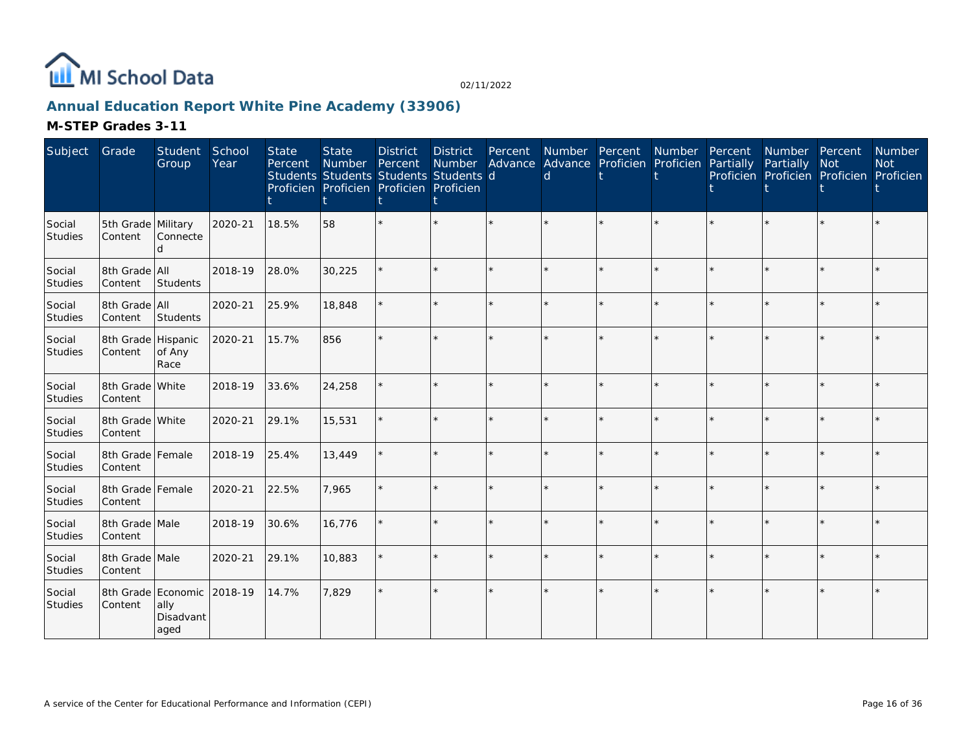

## **Annual Education Report White Pine Academy (33906)**

| Subject                  | Grade                                 | Student<br>Group          | School<br>Year | <b>State</b><br>Percent | <b>State</b><br>Number Percent<br>Students Students Students Students d<br>Proficien Proficien Proficien Proficien | <b>District</b> | <b>District</b> | Percent | Number Advance Advance Proficien Proficien<br>d | Number Percent | Number  | Percent<br>Partially | Number Percent<br>Partially<br>Proficien Proficien Proficien Proficien | <b>Not</b> | Number<br><b>Not</b> |
|--------------------------|---------------------------------------|---------------------------|----------------|-------------------------|--------------------------------------------------------------------------------------------------------------------|-----------------|-----------------|---------|-------------------------------------------------|----------------|---------|----------------------|------------------------------------------------------------------------|------------|----------------------|
| Social<br><b>Studies</b> | 5th Grade Military<br>Content         | Connecte<br>d             | 2020-21        | 18.5%                   | 58                                                                                                                 |                 |                 |         |                                                 |                |         |                      |                                                                        |            |                      |
| Social<br>Studies        | 8th Grade All<br>Content              | Students                  | 2018-19        | 28.0%                   | 30,225                                                                                                             |                 |                 |         |                                                 |                |         |                      |                                                                        | $\star$    |                      |
| Social<br>Studies        | 8th Grade All<br>Content              | Students                  | 2020-21        | 25.9%                   | 18,848                                                                                                             |                 |                 |         |                                                 |                | ÷.      |                      |                                                                        | ÷          |                      |
| Social<br>Studies        | 8th Grade Hispanic<br>Content         | of Any<br>Race            | 2020-21        | 15.7%                   | 856                                                                                                                |                 |                 |         |                                                 |                |         |                      |                                                                        | $\star$    |                      |
| Social<br>Studies        | 8th Grade White<br>Content            |                           | 2018-19        | 33.6%                   | 24,258                                                                                                             |                 |                 |         |                                                 |                | $\star$ |                      |                                                                        | $\star$    |                      |
| Social<br>Studies        | 8th Grade White<br>Content            |                           | 2020-21        | 29.1%                   | 15,531                                                                                                             |                 |                 |         |                                                 |                |         |                      |                                                                        | $\star$    |                      |
| Social<br>Studies        | 8th Grade Female<br>Content           |                           | 2018-19        | 25.4%                   | 13,449                                                                                                             |                 |                 | $\star$ |                                                 |                | $\star$ |                      |                                                                        | $\star$    |                      |
| Social<br>Studies        | 8th Grade Female<br>Content           |                           | 2020-21        | 22.5%                   | 7,965                                                                                                              |                 |                 |         |                                                 |                | $\star$ |                      |                                                                        | $\star$    |                      |
| Social<br>Studies        | 8th Grade Male<br>Content             |                           | 2018-19        | 30.6%                   | 16,776                                                                                                             |                 |                 |         |                                                 |                | $\star$ |                      |                                                                        | $\star$    |                      |
| Social<br>Studies        | 8th Grade Male<br>Content             |                           | 2020-21        | 29.1%                   | 10,883                                                                                                             |                 |                 |         | ÷,                                              |                | $\star$ | ÷                    |                                                                        | $\star$    |                      |
| Social<br>Studies        | 8th Grade Economic 2018-19<br>Content | ally<br>Disadvant<br>aged |                | 14.7%                   | 7,829                                                                                                              |                 |                 |         |                                                 |                |         |                      |                                                                        |            |                      |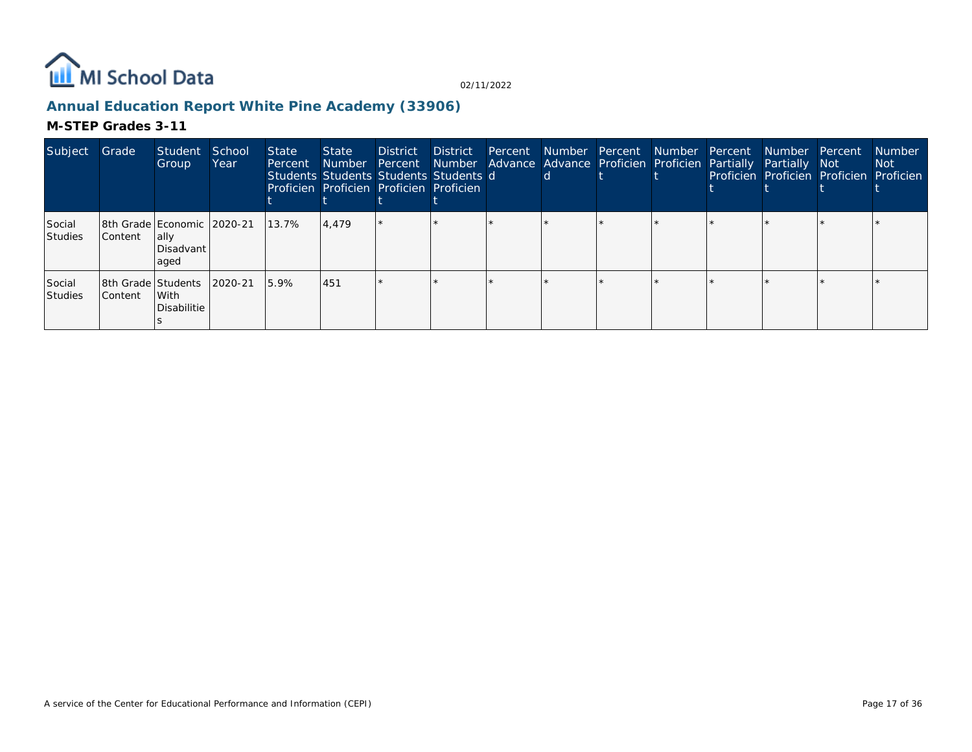

## **Annual Education Report White Pine Academy (33906)**

| Subject                  | Grade                                | Student<br>Group                                           | School<br>Year | <b>State</b><br>Percent | State<br><b>Number</b> | <b>District</b><br>Students Students Students Students d<br>Proficien Proficien Proficien Proficien | District | Percent Number Percent<br><sub>d</sub> | Percent Number Advance Advance Proficien Proficien Partially Partially Not | Number Percent | Number Percent | Proficien Proficien Proficien Proficien | <b>Number</b><br>Not |
|--------------------------|--------------------------------------|------------------------------------------------------------|----------------|-------------------------|------------------------|-----------------------------------------------------------------------------------------------------|----------|----------------------------------------|----------------------------------------------------------------------------|----------------|----------------|-----------------------------------------|----------------------|
| Social<br><b>Studies</b> | Content                              | 8th Grade Economic   2020-21<br>lally<br>Disadvant<br>aged |                | 13.7%                   | 4.479                  |                                                                                                     |          |                                        |                                                                            |                |                |                                         |                      |
| Social<br>Studies        | 8th Grade Students<br><b>Content</b> | With<br>Disabilitie                                        | 2020-21        | 15.9%                   | 451                    |                                                                                                     |          |                                        |                                                                            |                |                |                                         |                      |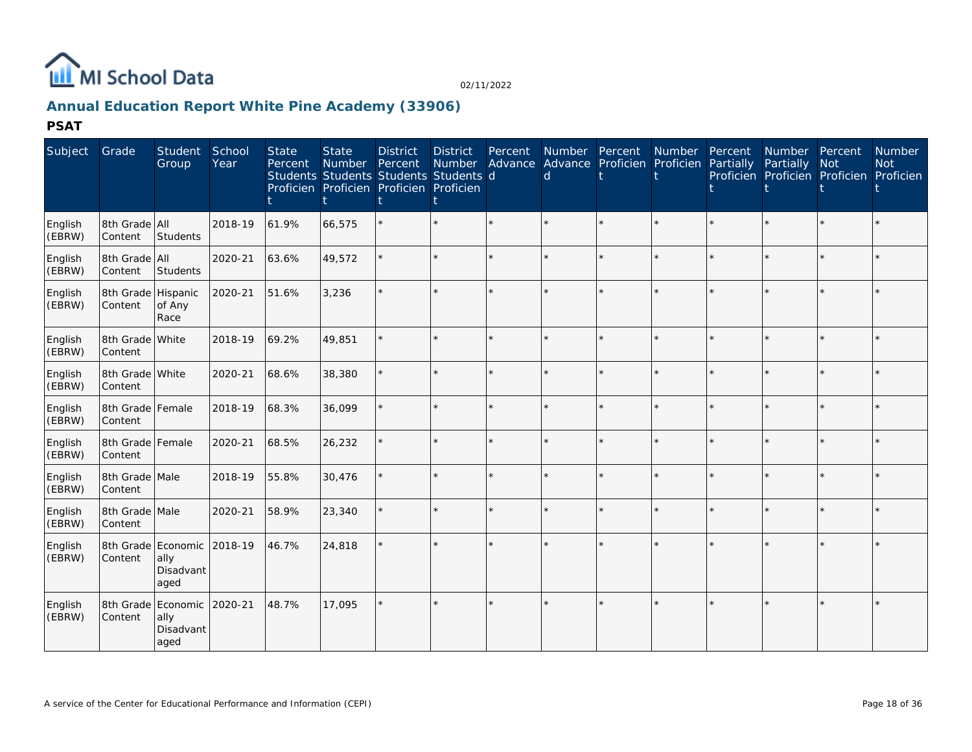

## **Annual Education Report White Pine Academy (33906)**

**PSAT**

| Subject           | Grade                         | Student<br>Group                                | School<br>Year | <b>State</b><br>Percent | <b>State</b><br>Number | <b>District</b><br>Percent<br>Students Students Students Students d<br>Proficien Proficien Proficien Proficien | <b>District</b><br>Number | Percent | Number Percent Number<br>Advance Advance Proficien Proficien<br>d |         |         | Percent<br>Partially | Number Percent<br>Partially<br>Proficien Proficien Proficien Proficien | <b>Not</b> | <b>Number</b><br><b>Not</b> |
|-------------------|-------------------------------|-------------------------------------------------|----------------|-------------------------|------------------------|----------------------------------------------------------------------------------------------------------------|---------------------------|---------|-------------------------------------------------------------------|---------|---------|----------------------|------------------------------------------------------------------------|------------|-----------------------------|
| English<br>(EBRW) | 8th Grade All<br>Content      | Students                                        | 2018-19        | 61.9%                   | 66,575                 |                                                                                                                | $\star$                   | $\star$ | $\star$                                                           | $\star$ | $\star$ | $\star$              |                                                                        | $\star$    |                             |
| English<br>(EBRW) | 8th Grade All<br>Content      | Students                                        | 2020-21        | 63.6%                   | 49,572                 |                                                                                                                | $\star$                   | $\star$ | $\star$                                                           | ÷.      | ÷.      |                      |                                                                        | ÷.         |                             |
| English<br>(EBRW) | 8th Grade Hispanic<br>Content | of Any<br>Race                                  | 2020-21        | 51.6%                   | 3,236                  |                                                                                                                | $\star$                   |         |                                                                   | $\star$ | $\star$ |                      |                                                                        |            |                             |
| English<br>(EBRW) | 8th Grade White<br>Content    |                                                 | 2018-19        | 69.2%                   | 49,851                 |                                                                                                                | ÷.                        | ÷.      |                                                                   | ÷.      | ÷.      |                      |                                                                        | ÷.         |                             |
| English<br>(EBRW) | 8th Grade White<br>Content    |                                                 | 2020-21        | 68.6%                   | 38,380                 |                                                                                                                | $\star$                   |         |                                                                   | $\star$ |         |                      |                                                                        |            |                             |
| English<br>(EBRW) | 8th Grade Female<br>Content   |                                                 | 2018-19        | 68.3%                   | 36,099                 |                                                                                                                | $\star$                   | $\star$ |                                                                   | $\star$ | $\star$ |                      |                                                                        | $\star$    |                             |
| English<br>(EBRW) | 8th Grade Female<br>Content   |                                                 | 2020-21        | 68.5%                   | 26,232                 |                                                                                                                | ÷.                        | ÷.      | ×                                                                 | ÷.      | ÷.      |                      |                                                                        | $\star$    |                             |
| English<br>(EBRW) | 8th Grade Male<br>Content     |                                                 | 2018-19        | 55.8%                   | 30,476                 |                                                                                                                | $\star$                   | ÷.      | $\star$                                                           | $\star$ | $\star$ |                      |                                                                        | $\star$    |                             |
| English<br>(EBRW) | 8th Grade Male<br>Content     |                                                 | 2020-21        | 58.9%                   | 23,340                 |                                                                                                                | $\star$                   | $\star$ |                                                                   | $\star$ | $\star$ |                      |                                                                        | $\star$    |                             |
| English<br>(EBRW) | Content                       | 8th Grade Economic<br>ally<br>Disadvant<br>aged | 2018-19        | 46.7%                   | 24,818                 |                                                                                                                | ÷.                        |         |                                                                   | $\star$ |         |                      |                                                                        |            |                             |
| English<br>(EBRW) | 8th Grade<br>Content          | Economic<br>ally<br>Disadvant<br>aged           | 2020-21        | 48.7%                   | 17,095                 |                                                                                                                | ÷.                        |         | $\star$                                                           | ÷.      |         |                      |                                                                        |            |                             |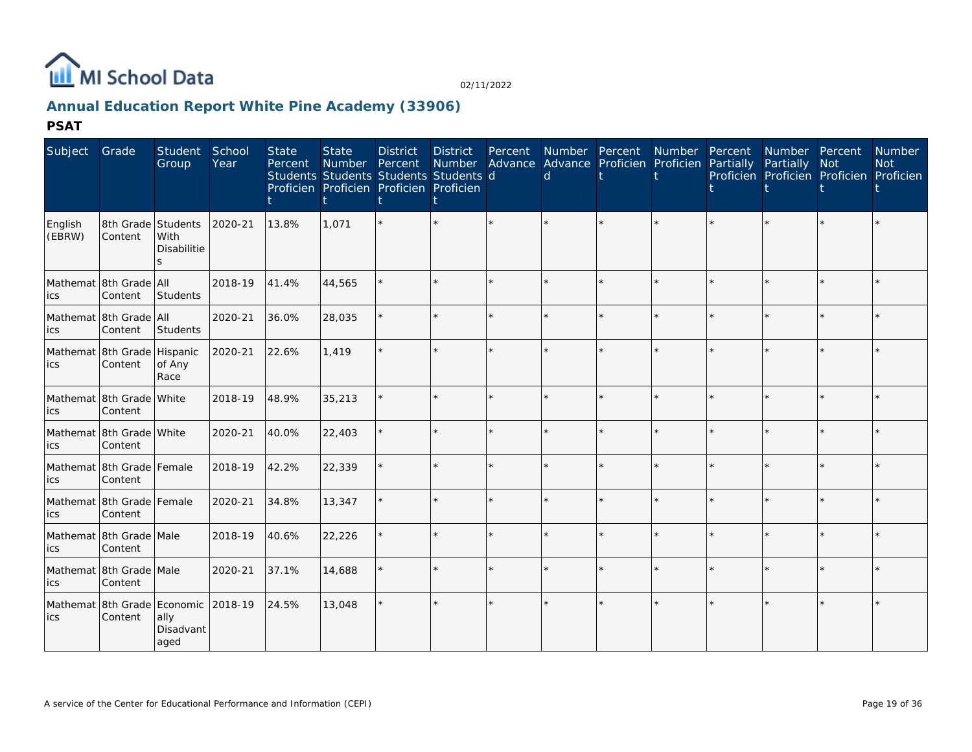

## **Annual Education Report White Pine Academy (33906)**

**PSAT**

| Subject           | Grade                                  | Student<br>Group                                                 | School<br>Year | <b>State</b><br>Percent | <b>State</b><br>Number | <b>District</b><br>Percent<br>Students Students Students Students d<br>Proficien Proficien Proficien Proficien | District<br>Number |         | d | Percent Number Percent Number<br>Advance Advance Proficien Proficien Partially |         | Percent | Number Percent<br>Partially<br>Proficien Proficien Proficien Proficien | <b>Not</b> | <b>Number</b><br><b>Not</b> |
|-------------------|----------------------------------------|------------------------------------------------------------------|----------------|-------------------------|------------------------|----------------------------------------------------------------------------------------------------------------|--------------------|---------|---|--------------------------------------------------------------------------------|---------|---------|------------------------------------------------------------------------|------------|-----------------------------|
| English<br>(EBRW) | 8th Grade Students<br>Content          | With<br><b>Disabilitie</b><br>S                                  | 2020-21        | 13.8%                   | 1,071                  |                                                                                                                |                    | $\star$ |   | $\star$                                                                        | $\star$ |         | $\star$                                                                | $\star$    |                             |
| ics               | Mathemat 8th Grade All<br>Content      | Students                                                         | 2018-19        | 41.4%                   | 44,565                 |                                                                                                                |                    |         |   | $\star$                                                                        | $\star$ |         | $\star$                                                                | $\star$    |                             |
| ics               | Mathemat 8th Grade All<br>Content      | Students                                                         | 2020-21        | 36.0%                   | 28,035                 |                                                                                                                |                    | $\star$ |   | $\star$                                                                        | $\star$ |         | $\star$                                                                | $\star$    |                             |
| ics               | Mathemat 8th Grade Hispanic<br>Content | of Any<br>Race                                                   | 2020-21        | 22.6%                   | 1,419                  |                                                                                                                |                    | $\star$ |   | ÷.                                                                             | $\star$ |         |                                                                        | ÷.         |                             |
| ics               | Mathemat 8th Grade White<br>Content    |                                                                  | 2018-19        | 48.9%                   | 35,213                 |                                                                                                                |                    | $\star$ |   | $\star$                                                                        | ÷.      |         | $\star$                                                                | $\star$    |                             |
| ics               | Mathemat 8th Grade White<br>Content    |                                                                  | 2020-21        | 40.0%                   | 22,403                 |                                                                                                                |                    |         |   | $\star$                                                                        | $\star$ |         | $\star$                                                                | $\star$    |                             |
| ics               | Mathemat 8th Grade Female<br>Content   |                                                                  | 2018-19        | 42.2%                   | 22,339                 |                                                                                                                |                    | $\star$ |   | $\star$                                                                        | $\star$ |         | $\star$                                                                | $\star$    |                             |
| ics               | Mathemat 8th Grade Female<br>Content   |                                                                  | 2020-21        | 34.8%                   | 13,347                 |                                                                                                                |                    | $\star$ |   | $\star$                                                                        | ÷.      |         |                                                                        | $\star$    |                             |
| ics               | Mathemat 8th Grade Male<br>Content     |                                                                  | 2018-19        | 40.6%                   | 22,226                 |                                                                                                                |                    | $\star$ |   | $\star$                                                                        | $\star$ |         |                                                                        | $\star$    |                             |
| ics               | Mathemat 8th Grade Male<br>Content     |                                                                  | 2020-21        | 37.1%                   | 14,688                 |                                                                                                                |                    | $\star$ |   | $\star$                                                                        | $\star$ |         |                                                                        | $\star$    |                             |
| ics               | Content                                | Mathemat 8th Grade Economic 2018-19<br>ally<br>Disadvant<br>aged |                | 24.5%                   | 13,048                 |                                                                                                                |                    |         |   | ÷.                                                                             |         |         |                                                                        |            |                             |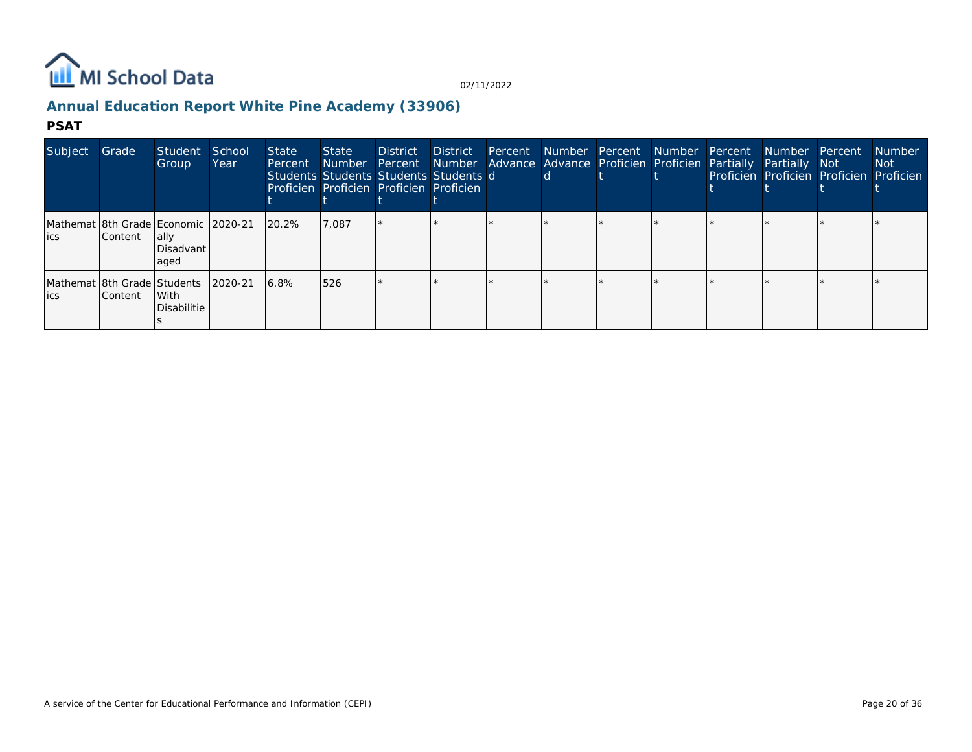

## **Annual Education Report White Pine Academy (33906)**

#### **PSAT**

| Subject | Grade          | Student<br>Group                                                  | School<br>Year | State<br>Percent | State<br>Number Percent<br>Students Students Students Students d<br>Proficien Proficien Proficien Proficien | <b>District</b> | District |  | Percent Number Percent Number Percent<br>Number Advance Advance Proficien Proficien Partially Partially Not |  | Number Percent<br>Proficien Proficien Proficien Proficien | <b>Number</b><br>Not : |
|---------|----------------|-------------------------------------------------------------------|----------------|------------------|-------------------------------------------------------------------------------------------------------------|-----------------|----------|--|-------------------------------------------------------------------------------------------------------------|--|-----------------------------------------------------------|------------------------|
| lics    | <b>Content</b> | Mathemat 8th Grade Economic 2020-21<br>lally<br>Disadvant<br>aged |                | 20.2%            | 7,087                                                                                                       |                 |          |  |                                                                                                             |  |                                                           |                        |
| lics    | <b>Content</b> | Mathemat 8th Grade Students  <br>l With<br>Disabilitie            | 2020-21        | 6.8%             | 526                                                                                                         |                 |          |  |                                                                                                             |  |                                                           |                        |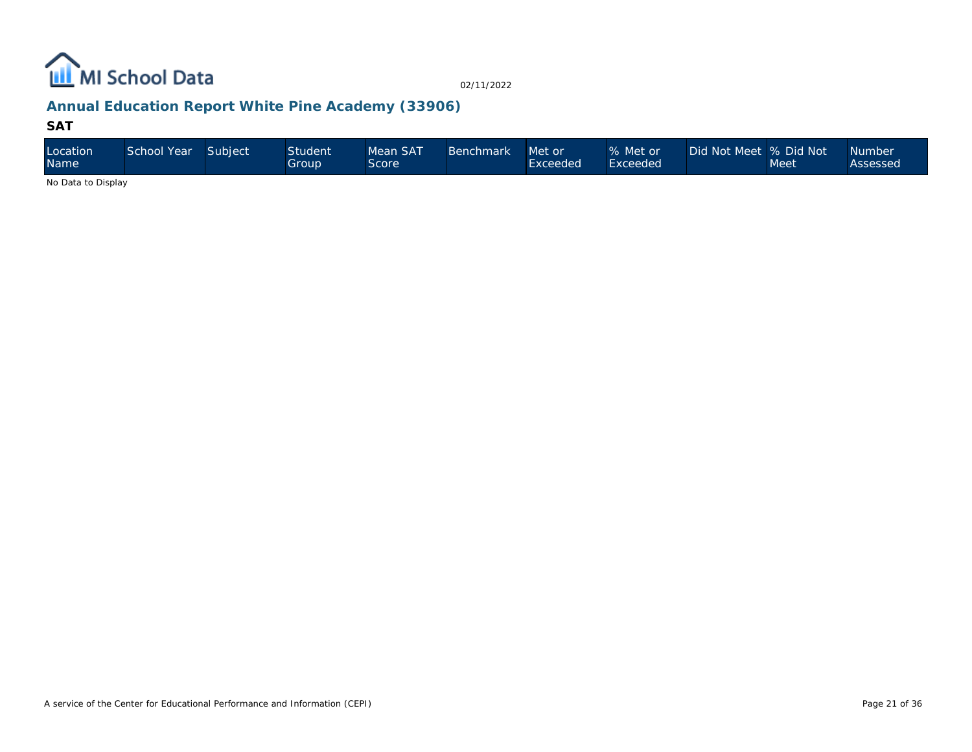

## **Annual Education Report White Pine Academy (33906)**

#### **SAT**

| Location<br>Name   | School Year | Subject | <b>Student</b><br>Group | Mean SAT<br>Score | Benchmark | Met or<br>Exceeded | % Met or<br>Exceeded | Did Not Meet % Did Not | Meet | Number<br>Assessed |
|--------------------|-------------|---------|-------------------------|-------------------|-----------|--------------------|----------------------|------------------------|------|--------------------|
| No Dota to Dianlau |             |         |                         |                   |           |                    |                      |                        |      |                    |

No Data to Display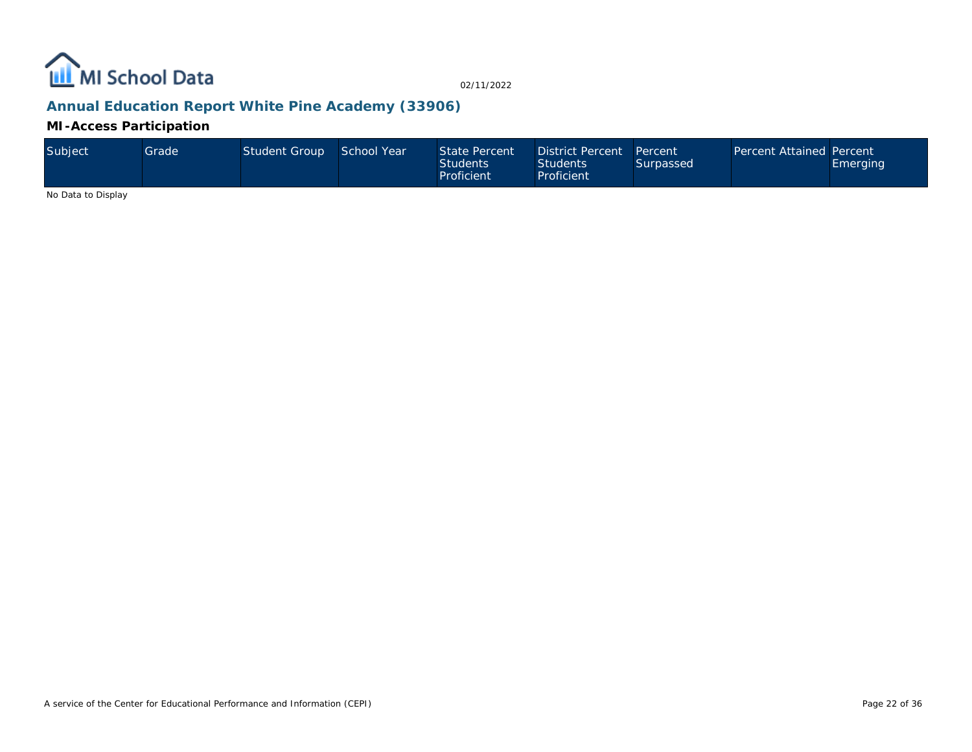

## **Annual Education Report White Pine Academy (33906)**

**MI-Access Participation**

| Subject | Grade' | Student Group | School Year | State Percent<br><b>Students</b><br>Proficient | District Percent Percent<br><b>Students</b><br>Proficient | Surpassed | Percent Attained Percent | <b>Emerging</b> |
|---------|--------|---------------|-------------|------------------------------------------------|-----------------------------------------------------------|-----------|--------------------------|-----------------|
|---------|--------|---------------|-------------|------------------------------------------------|-----------------------------------------------------------|-----------|--------------------------|-----------------|

No Data to Display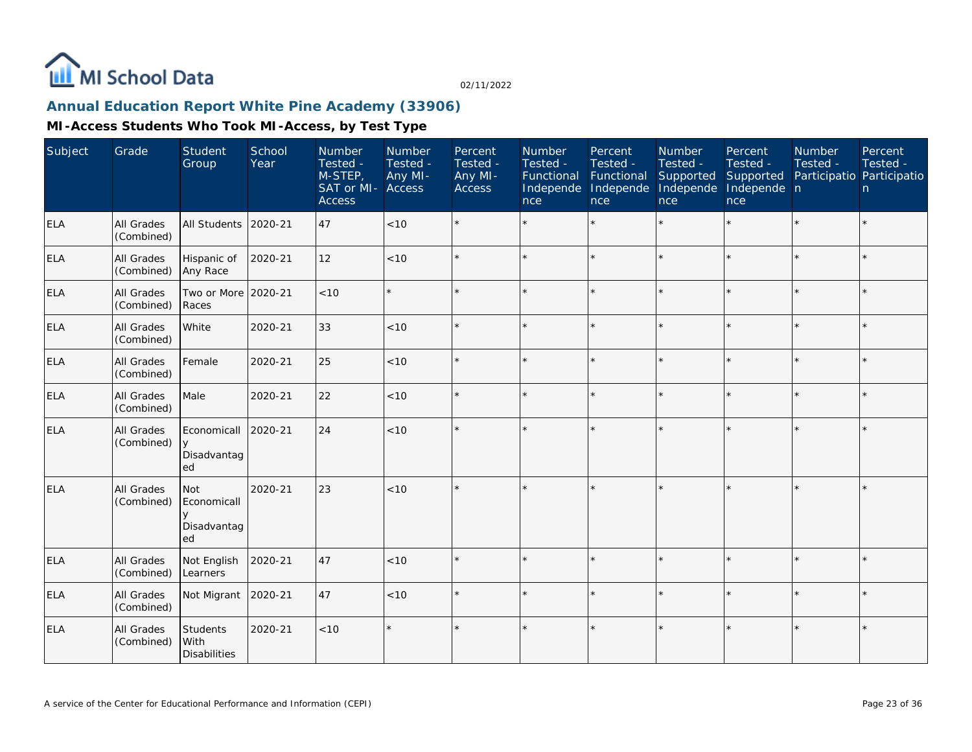

## **Annual Education Report White Pine Academy (33906)**

| Subject    | Grade                           | Student<br>Group                           | School<br>Year | Number<br>Tested -<br>M-STEP,<br>SAT or MI- Access<br><b>Access</b> | Number<br>Tested -<br>Any MI- | Percent<br>Tested -<br>Any MI-<br>Access | Number<br>Tested -<br>Functional<br>Independe<br>nce | Percent<br>Tested -<br>Functional<br>Independe<br><b>nce</b> | <b>Number</b><br>Tested -<br>Supported<br>Independe<br>nce | Percent<br>Tested -<br>Supported<br>Independe n<br>nce | <b>Number</b><br>Tested -<br>Participatio Participatio | Percent<br>Tested -<br>n |
|------------|---------------------------------|--------------------------------------------|----------------|---------------------------------------------------------------------|-------------------------------|------------------------------------------|------------------------------------------------------|--------------------------------------------------------------|------------------------------------------------------------|--------------------------------------------------------|--------------------------------------------------------|--------------------------|
| <b>ELA</b> | <b>All Grades</b><br>(Combined) | All Students                               | 2020-21        | 47                                                                  | < 10                          |                                          |                                                      |                                                              |                                                            |                                                        |                                                        | $\star$                  |
| <b>ELA</b> | All Grades<br>(Combined)        | Hispanic of<br>Any Race                    | 2020-21        | 12                                                                  | < 10                          |                                          |                                                      | $\star$                                                      | ÷                                                          |                                                        | ×.                                                     | $\star$                  |
| <b>ELA</b> | All Grades<br>(Combined)        | Two or More<br>Races                       | 2020-21        | < 10                                                                |                               | $\star$                                  | $\star$                                              | $\star$                                                      | ÷.                                                         |                                                        |                                                        | $\star$                  |
| <b>ELA</b> | All Grades<br>(Combined)        | White                                      | 2020-21        | 33                                                                  | < 10                          |                                          |                                                      | $\star$                                                      | ÷                                                          |                                                        |                                                        | $\star$                  |
| <b>ELA</b> | All Grades<br>(Combined)        | Female                                     | 2020-21        | 25                                                                  | < 10                          | $\star$                                  |                                                      | $\star$                                                      |                                                            |                                                        |                                                        | $\star$                  |
| <b>ELA</b> | <b>All Grades</b><br>(Combined) | Male                                       | 2020-21        | 22                                                                  | < 10                          | $\star$                                  |                                                      | $\star$                                                      |                                                            |                                                        |                                                        | $\star$                  |
| <b>ELA</b> | All Grades<br>(Combined)        | Economicall<br>$\vee$<br>Disadvantag<br>ed | 2020-21        | 24                                                                  | < 10                          |                                          |                                                      |                                                              |                                                            |                                                        |                                                        | k.                       |
| <b>ELA</b> | All Grades<br>(Combined)        | Not<br>Economicall<br>Disadvantag<br>ed    | 2020-21        | 23                                                                  | < 10                          | $\star$                                  |                                                      |                                                              |                                                            |                                                        |                                                        | $\star$                  |
| <b>ELA</b> | <b>All Grades</b><br>(Combined) | Not English<br>Learners                    | 2020-21        | 47                                                                  | < 10                          | $\star$                                  |                                                      | $\star$                                                      |                                                            |                                                        |                                                        | $\star$                  |
| <b>ELA</b> | <b>All Grades</b><br>(Combined) | Not Migrant                                | 2020-21        | 47                                                                  | < 10                          |                                          |                                                      | $\star$                                                      |                                                            |                                                        |                                                        | $\star$                  |
| <b>ELA</b> | <b>All Grades</b><br>(Combined) | Students<br>With<br><b>Disabilities</b>    | 2020-21        | $<10$                                                               |                               | $\star$                                  |                                                      | $\star$                                                      |                                                            |                                                        |                                                        | $\star$                  |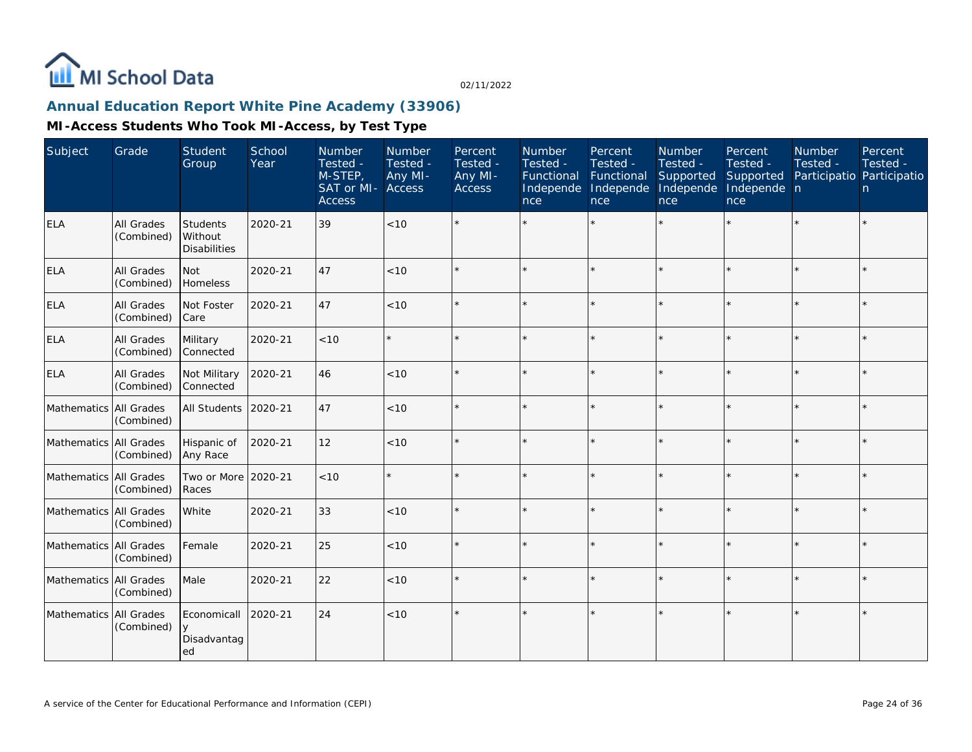

## **Annual Education Report White Pine Academy (33906)**

| Subject                | Grade                    | <b>Student</b><br>Group                    | School<br>Year | Number<br>Tested -<br>M-STEP,<br>SAT or MI-<br><b>Access</b> | Number<br>Tested -<br>Any MI-<br>Access | Percent<br>Tested -<br>Any MI-<br><b>Access</b> | Number<br>Tested -<br>Functional<br>Independe<br>nce | Percent<br>Tested -<br>Functional<br>Independe<br>nce | <b>Number</b><br>Tested -<br>Supported<br>Independe<br>nce | Percent<br>Tested -<br>Supported<br>Independe n<br>nce | <b>Number</b><br>Tested -<br>Participatio Participatio | Percent<br>Tested -<br>n. |
|------------------------|--------------------------|--------------------------------------------|----------------|--------------------------------------------------------------|-----------------------------------------|-------------------------------------------------|------------------------------------------------------|-------------------------------------------------------|------------------------------------------------------------|--------------------------------------------------------|--------------------------------------------------------|---------------------------|
| <b>ELA</b>             | All Grades<br>(Combined) | Students<br>Without<br><b>Disabilities</b> | 2020-21        | 39                                                           | < 10                                    |                                                 |                                                      |                                                       |                                                            |                                                        |                                                        | $\star$                   |
| <b>ELA</b>             | All Grades<br>(Combined) | Not<br>Homeless                            | 2020-21        | 47                                                           | < 10                                    |                                                 |                                                      |                                                       |                                                            | $\star$                                                |                                                        | $\star$                   |
| <b>ELA</b>             | All Grades<br>(Combined) | Not Foster<br> Care                        | 2020-21        | 47                                                           | $<10$                                   |                                                 |                                                      |                                                       |                                                            |                                                        |                                                        | $\star$                   |
| <b>ELA</b>             | All Grades<br>(Combined) | Military<br>Connected                      | 2020-21        | < 10                                                         |                                         |                                                 |                                                      |                                                       |                                                            |                                                        |                                                        | $\star$                   |
| <b>ELA</b>             | All Grades<br>(Combined) | Not Military<br>Connected                  | 2020-21        | 46                                                           | < 10                                    |                                                 |                                                      |                                                       |                                                            |                                                        |                                                        | $\star$                   |
| Mathematics All Grades | (Combined)               | All Students                               | 2020-21        | 47                                                           | $<10$                                   |                                                 |                                                      |                                                       |                                                            |                                                        |                                                        | $\star$                   |
| Mathematics All Grades | (Combined)               | Hispanic of<br>Any Race                    | 2020-21        | 12                                                           | < 10                                    |                                                 |                                                      |                                                       |                                                            |                                                        |                                                        | $\star$                   |
| Mathematics All Grades | (Combined)               | Two or More<br>Races                       | 2020-21        | < 10                                                         |                                         |                                                 |                                                      |                                                       |                                                            |                                                        |                                                        | $\star$                   |
| Mathematics All Grades | (Combined)               | White                                      | 2020-21        | 33                                                           | < 10                                    |                                                 |                                                      |                                                       |                                                            |                                                        |                                                        | $\star$                   |
| Mathematics All Grades | (Combined)               | Female                                     | 2020-21        | 25                                                           | < 10                                    | $\star$                                         |                                                      |                                                       |                                                            |                                                        | $\star$                                                | $\star$                   |
| Mathematics All Grades | (Combined)               | Male                                       | 2020-21        | 22                                                           | < 10                                    |                                                 |                                                      |                                                       | $\star$                                                    | ×.                                                     |                                                        | $\star$                   |
| Mathematics All Grades | (Combined)               | Economicall<br>Disadvantag<br>ed           | 2020-21        | 24                                                           | $<10$                                   |                                                 |                                                      |                                                       |                                                            |                                                        |                                                        | $\star$                   |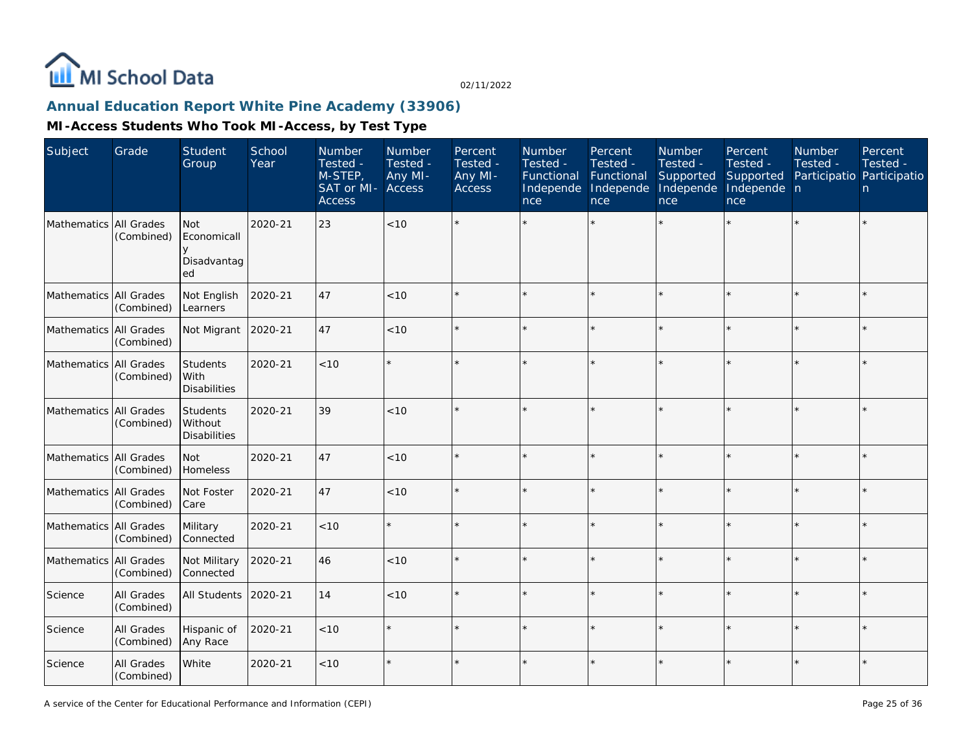

## **Annual Education Report White Pine Academy (33906)**

| Subject                  | Grade                    | Student<br>Group                               | School<br>Year | Number<br>Tested -<br>M-STEP,<br>SAT or MI-<br><b>Access</b> | Number<br>Tested -<br>Any MI-<br>Access | Percent<br>Tested -<br>Any MI-<br>Access | Number<br>Tested -<br>Functional<br>Independe<br>nce | Percent<br>Tested -<br>Functional<br>Independe<br>nce | Number<br>Tested -<br>Supported<br>Independe<br>nce | Percent<br>Tested -<br>Supported<br>Independe n<br>nce | Number<br>Tested -<br>Participatio Participatio | Percent<br>Tested -<br>n |
|--------------------------|--------------------------|------------------------------------------------|----------------|--------------------------------------------------------------|-----------------------------------------|------------------------------------------|------------------------------------------------------|-------------------------------------------------------|-----------------------------------------------------|--------------------------------------------------------|-------------------------------------------------|--------------------------|
| Mathematics All Grades   | (Combined)               | <b>Not</b><br>Economicall<br>Disadvantag<br>ed | 2020-21        | 23                                                           | < 10                                    |                                          |                                                      |                                                       |                                                     |                                                        |                                                 | $\star$                  |
| Mathematics All Grades   | (Combined)               | Not English<br>Learners                        | 2020-21        | 47                                                           | < 10                                    |                                          |                                                      | $\star$                                               |                                                     | $\star$                                                |                                                 | $\star$                  |
| Mathematics All Grades   | (Combined)               | Not Migrant                                    | 2020-21        | 47                                                           | < 10                                    |                                          |                                                      | $\star$                                               |                                                     | $\star$                                                |                                                 | $\star$                  |
| Mathematics All Grades   | (Combined)               | Students<br>With<br><b>Disabilities</b>        | 2020-21        | < 10                                                         | $\star$                                 |                                          |                                                      |                                                       |                                                     | $\star$                                                | $\star$                                         | $\star$                  |
| Mathematics All Grades   | (Combined)               | Students<br>Without<br><b>Disabilities</b>     | 2020-21        | 39                                                           | < 10                                    |                                          |                                                      | $\star$                                               |                                                     |                                                        |                                                 | $\star$                  |
| Mathematics All Grades   | (Combined)               | <b>Not</b><br>Homeless                         | 2020-21        | 47                                                           | $<10$                                   |                                          |                                                      |                                                       |                                                     |                                                        |                                                 | ×                        |
| Mathematics All Grades   | (Combined)               | Not Foster<br>Care                             | 2020-21        | 47                                                           | $<10$                                   |                                          |                                                      | $\star$                                               |                                                     | $\star$                                                |                                                 | $\star$                  |
| Mathematics   All Grades | (Combined)               | Military<br>Connected                          | 2020-21        | $<10$                                                        | $\star$                                 |                                          |                                                      |                                                       |                                                     |                                                        |                                                 | $\star$                  |
| Mathematics All Grades   | (Combined)               | Not Military<br><b>Connected</b>               | 2020-21        | 46                                                           | $<10$                                   |                                          |                                                      | $\star$                                               |                                                     | $\star$                                                |                                                 | $\star$                  |
| Science                  | All Grades<br>(Combined) | All Students                                   | 2020-21        | 14                                                           | < 10                                    |                                          |                                                      | $\star$                                               |                                                     | ×.                                                     | $\star$                                         | $\star$                  |
| Science                  | All Grades<br>(Combined) | Hispanic of<br>Any Race                        | 2020-21        | $<10$                                                        | $\star$                                 |                                          |                                                      | $\star$                                               |                                                     | $\star$                                                |                                                 | $\star$                  |
| Science                  | All Grades<br>(Combined) | White                                          | 2020-21        | < 10                                                         | $\star$                                 |                                          |                                                      | $\star$                                               |                                                     |                                                        |                                                 | $\star$                  |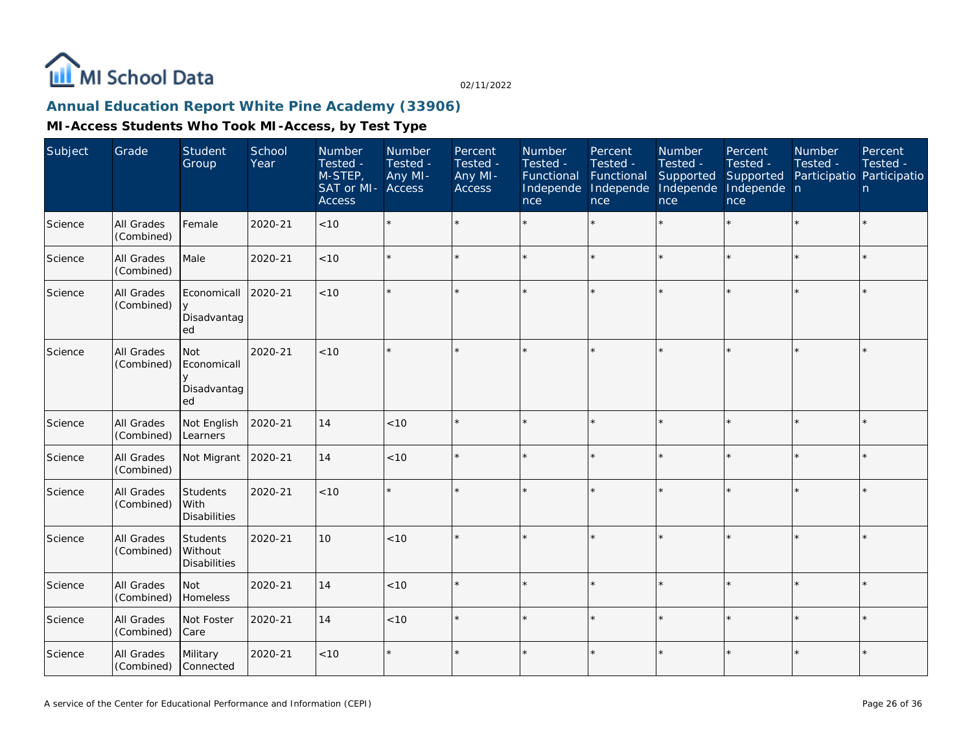

### **Annual Education Report White Pine Academy (33906)**

| Subject | Grade                    | Student<br>Group                               | School<br>Year | Number<br>Tested -<br>$M-STEP$<br>SAT or MI-<br><b>Access</b> | Number<br>Tested -<br>Any MI-<br>Access | Percent<br>Tested -<br>Any MI-<br><b>Access</b> | Number<br>Tested -<br>Functional<br>Independe<br>nce | Percent<br>Tested -<br>Functional<br>Independe<br>nce | Number<br>Tested -<br>Supported<br>Independe<br>nce | Percent<br>Tested -<br>Supported<br>Independe n<br>nce | <b>Number</b><br>Tested -<br>Participatio Participatio | Percent<br>Tested -<br>n |
|---------|--------------------------|------------------------------------------------|----------------|---------------------------------------------------------------|-----------------------------------------|-------------------------------------------------|------------------------------------------------------|-------------------------------------------------------|-----------------------------------------------------|--------------------------------------------------------|--------------------------------------------------------|--------------------------|
| Science | All Grades<br>(Combined) | Female                                         | 2020-21        | < 10                                                          | $\star$                                 |                                                 |                                                      | $\star$                                               |                                                     |                                                        |                                                        | $\star$                  |
| Science | All Grades<br>(Combined) | Male                                           | 2020-21        | $<10$                                                         | $\star$                                 |                                                 |                                                      | $\star$                                               | ÷                                                   | $\star$                                                | $\star$                                                | $\star$                  |
| Science | All Grades<br>(Combined) | Economicall<br>$\vee$<br>Disadvantag<br>ed     | 2020-21        | < 10                                                          | $\star$                                 |                                                 |                                                      |                                                       |                                                     |                                                        |                                                        | $\star$                  |
| Science | All Grades<br>(Combined) | <b>Not</b><br>Economicall<br>Disadvantag<br>ed | 2020-21        | < 10                                                          | $\star$                                 |                                                 |                                                      | $\star$                                               |                                                     |                                                        |                                                        | $\star$                  |
| Science | All Grades<br>(Combined) | Not English<br>Learners                        | 2020-21        | 14                                                            | < 10                                    |                                                 |                                                      | $\star$                                               |                                                     | $\star$                                                |                                                        | $\star$                  |
| Science | All Grades<br>(Combined) | Not Migrant                                    | 2020-21        | 14                                                            | < 10                                    |                                                 |                                                      | $\star$                                               |                                                     | ×.                                                     |                                                        | $\star$                  |
| Science | All Grades<br>(Combined) | Students<br>With<br><b>Disabilities</b>        | 2020-21        | < 10                                                          | $\star$                                 |                                                 |                                                      | $\star$                                               |                                                     | ×.                                                     |                                                        | $\star$                  |
| Science | All Grades<br>(Combined) | Students<br>Without<br><b>Disabilities</b>     | 2020-21        | 10                                                            | < 10                                    |                                                 |                                                      | $\star$                                               |                                                     |                                                        |                                                        | $\star$                  |
| Science | All Grades<br>(Combined) | <b>Not</b><br>Homeless                         | 2020-21        | 14                                                            | < 10                                    |                                                 |                                                      | $\star$                                               |                                                     | ×.                                                     |                                                        | $\star$                  |
| Science | All Grades<br>(Combined) | Not Foster<br>Care                             | 2020-21        | 14                                                            | < 10                                    |                                                 |                                                      | $\star$                                               | ÷                                                   | $\star$                                                |                                                        | $\star$                  |
| Science | All Grades<br>(Combined) | Military<br>Connected                          | 2020-21        | $<10$                                                         | $\star$                                 |                                                 |                                                      | $\star$                                               |                                                     | $\star$                                                |                                                        | $\star$                  |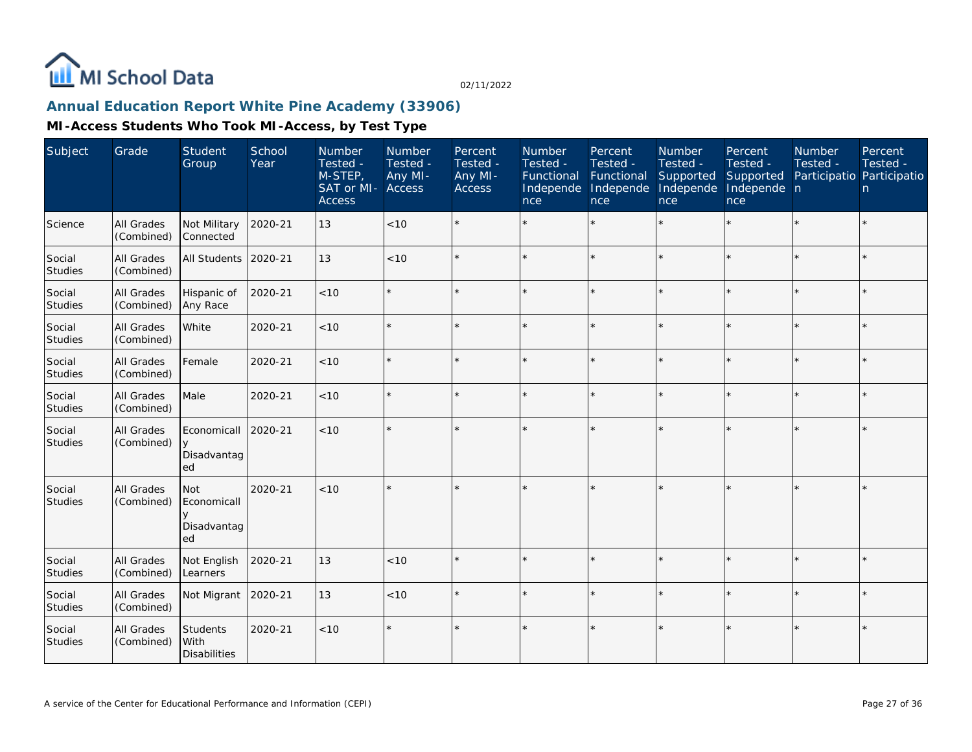

## **Annual Education Report White Pine Academy (33906)**

| Subject                  | Grade                           | <b>Student</b><br>Group                        | School<br>Year | Number<br>Tested -<br>M-STEP,<br>SAT or MI-<br><b>Access</b> | Number<br>Tested -<br>Any MI-<br>Access | Percent<br>Tested -<br>Any MI-<br><b>Access</b> | Number<br>Tested -<br>Functional<br>Independe<br>nce | Percent<br>Tested -<br>Functional<br>Independe<br>nce | <b>Number</b><br>Tested -<br>Supported<br>Independe<br>nce | Percent<br>Tested -<br>Supported<br>Independe n<br>nce | <b>Number</b><br>Tested - | Percent<br>Tested -<br>Participatio Participatio<br>n |
|--------------------------|---------------------------------|------------------------------------------------|----------------|--------------------------------------------------------------|-----------------------------------------|-------------------------------------------------|------------------------------------------------------|-------------------------------------------------------|------------------------------------------------------------|--------------------------------------------------------|---------------------------|-------------------------------------------------------|
| Science                  | All Grades<br>(Combined)        | Not Military<br>Connected                      | 2020-21        | 13                                                           | < 10                                    |                                                 |                                                      |                                                       |                                                            |                                                        |                           | $\star$                                               |
| Social<br><b>Studies</b> | All Grades<br>(Combined)        | All Students                                   | 2020-21        | 13                                                           | < 10                                    |                                                 |                                                      | $\star$                                               |                                                            | $\star$                                                | $\star$                   | $\star$                                               |
| Social<br><b>Studies</b> | All Grades<br>(Combined)        | Hispanic of<br>Any Race                        | 2020-21        | < 10                                                         | $\star$                                 |                                                 |                                                      | $\star$                                               | $\star$                                                    | $\star$                                                | $\star$                   | $\star$                                               |
| Social<br>Studies        | All Grades<br>(Combined)        | White                                          | 2020-21        | < 10                                                         | $\star$                                 |                                                 |                                                      |                                                       |                                                            | ×.                                                     |                           | $\star$                                               |
| Social<br>Studies        | All Grades<br>(Combined)        | Female                                         | 2020-21        | < 10                                                         | $\star$                                 |                                                 |                                                      | $\star$                                               |                                                            | ×.                                                     |                           | $\star$                                               |
| Social<br>Studies        | All Grades<br>(Combined)        | Male                                           | 2020-21        | < 10                                                         | $\star$                                 |                                                 |                                                      | $\star$                                               |                                                            |                                                        |                           | $\star$                                               |
| Social<br>Studies        | All Grades<br>(Combined)        | Economicall<br>Disadvantag<br>ed               | 2020-21        | < 10                                                         | $\star$                                 |                                                 |                                                      |                                                       |                                                            |                                                        |                           | $\star$                                               |
| Social<br>Studies        | All Grades<br>(Combined)        | <b>Not</b><br>Economicall<br>Disadvantag<br>ed | 2020-21        | < 10                                                         | $\star$                                 |                                                 |                                                      |                                                       |                                                            | ÷                                                      |                           | $\star$                                               |
| Social<br>Studies        | All Grades<br>(Combined)        | Not English<br>Learners                        | 2020-21        | 13                                                           | < 10                                    |                                                 |                                                      | $\star$                                               |                                                            | ×.                                                     |                           | $\star$                                               |
| Social<br>Studies        | <b>All Grades</b><br>(Combined) | Not Migrant                                    | 2020-21        | 13                                                           | < 10                                    |                                                 |                                                      | $\star$                                               |                                                            | $\star$                                                |                           | $\star$                                               |
| Social<br>Studies        | <b>All Grades</b><br>(Combined) | Students<br>With<br><b>Disabilities</b>        | 2020-21        | < 10                                                         | $\star$                                 |                                                 |                                                      |                                                       |                                                            |                                                        |                           | $\star$                                               |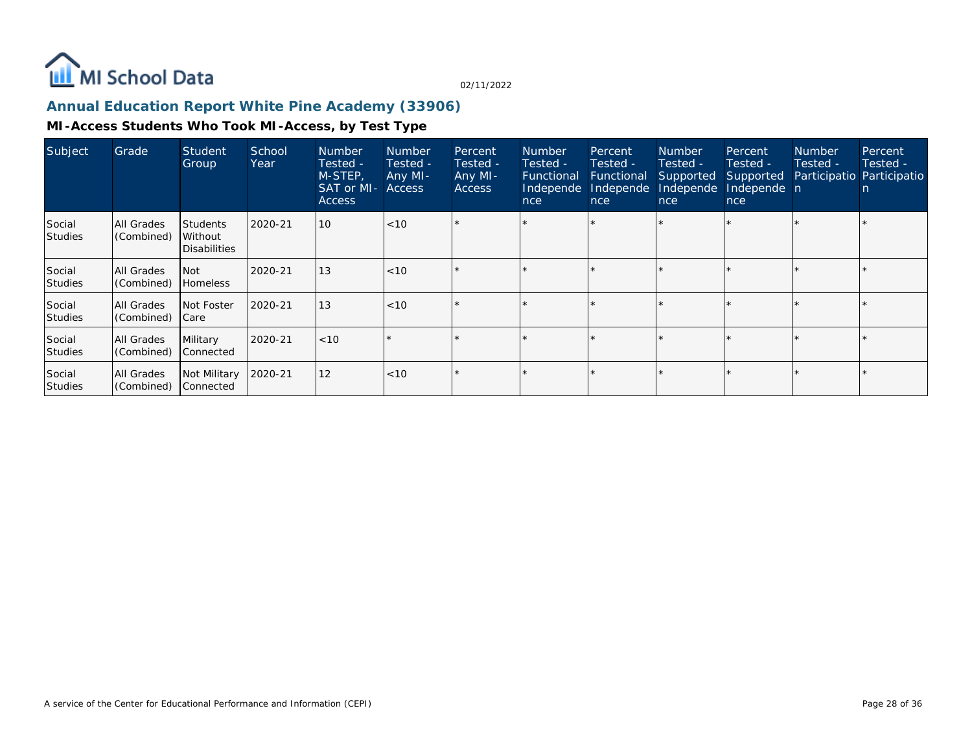

## **Annual Education Report White Pine Academy (33906)**

| Subject                  | Grade                    | <b>Student</b><br>Group                           | School<br>Year | <b>Number</b><br>Tested -<br>M-STEP,<br><b>SAT or MI- Access</b><br><b>Access</b> | <b>Number</b><br>Tested -<br>Any MI- | Percent<br>Tested -<br>Any MI-<br><b>Access</b> | Number<br>Tested -<br>Functional<br>Independe<br>nce | Percent<br>Tested -<br>Functional<br>Independe<br>nce | <b>Number</b><br>Tested -<br>Supported<br>Independe<br>nce | Percent<br>Tested -<br>Supported<br>Independe n<br>nce | <b>Number</b><br>Tested - | Percent<br>Tested -<br>Participatio Participatio<br>n |
|--------------------------|--------------------------|---------------------------------------------------|----------------|-----------------------------------------------------------------------------------|--------------------------------------|-------------------------------------------------|------------------------------------------------------|-------------------------------------------------------|------------------------------------------------------------|--------------------------------------------------------|---------------------------|-------------------------------------------------------|
| Social<br><b>Studies</b> | All Grades<br>(Combined) | <b>Students</b><br>Without<br><b>Disabilities</b> | 2020-21        | 10                                                                                | < 10                                 |                                                 |                                                      |                                                       |                                                            |                                                        |                           |                                                       |
| Social<br><b>Studies</b> | All Grades<br>(Combined) | l Not<br>Homeless                                 | 2020-21        | 13                                                                                | < 10                                 |                                                 |                                                      |                                                       |                                                            |                                                        |                           |                                                       |
| Social<br><b>Studies</b> | All Grades<br>(Combined) | Not Foster<br>  Care                              | 2020-21        | 13                                                                                | < 10                                 |                                                 |                                                      |                                                       |                                                            |                                                        |                           |                                                       |
| Social<br><b>Studies</b> | All Grades<br>(Combined) | Military<br>Connected                             | 2020-21        | <10                                                                               |                                      |                                                 |                                                      |                                                       |                                                            |                                                        |                           |                                                       |
| Social<br><b>Studies</b> | All Grades<br>(Combined) | Not Military<br>Connected                         | 2020-21        | 12                                                                                | < 10                                 |                                                 |                                                      |                                                       |                                                            |                                                        |                           |                                                       |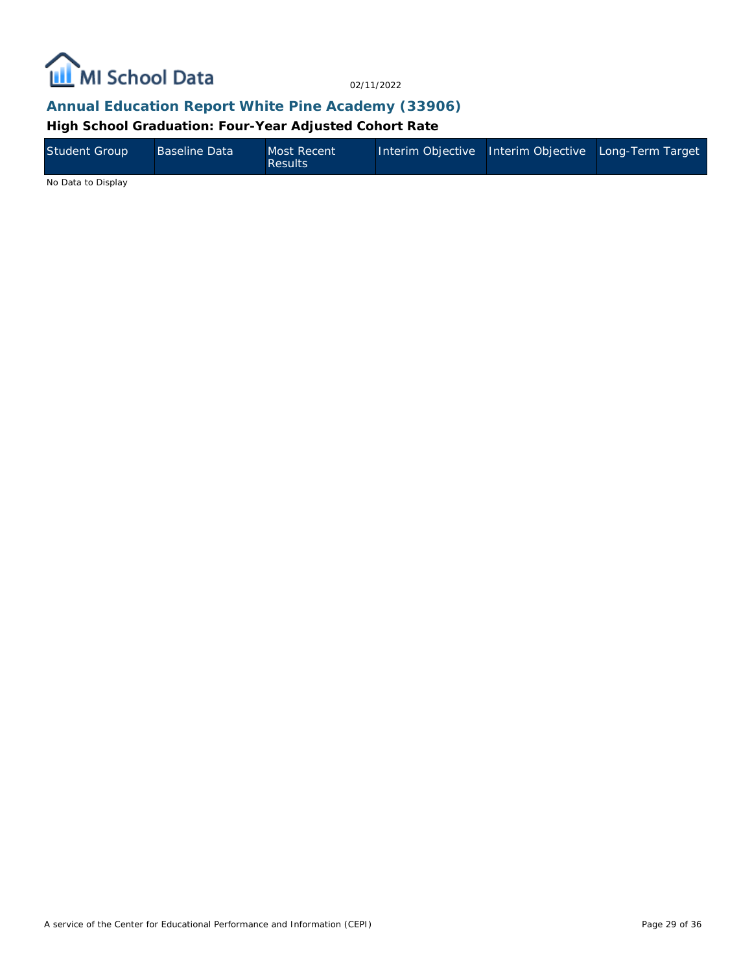

### **Annual Education Report White Pine Academy (33906)**

**High School Graduation: Four-Year Adjusted Cohort Rate**

| Student Group | <b>Baseline Data</b> | Most Recent<br>Results | Interim Objective Interim Objective Long-Term Target |  |
|---------------|----------------------|------------------------|------------------------------------------------------|--|
| .             |                      |                        |                                                      |  |

No Data to Display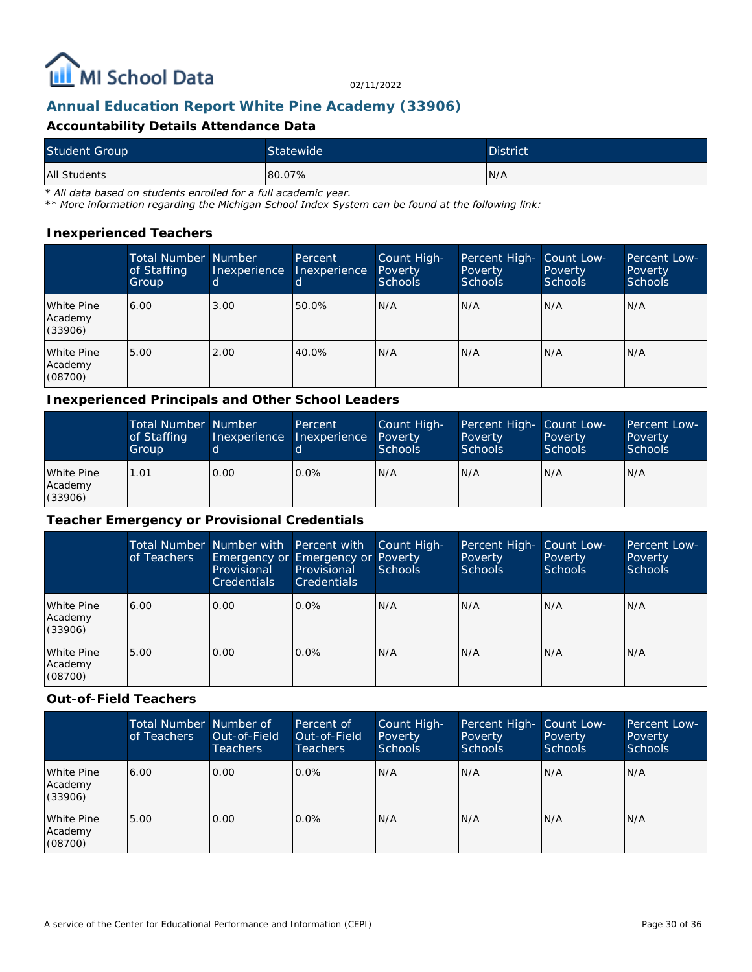

## **Annual Education Report White Pine Academy (33906)**

#### **Accountability Details Attendance Data**

| <b>Student Group</b> | Statewide | <b>District</b> |
|----------------------|-----------|-----------------|
| All Students         | 80.07%    | N/A             |

*\* All data based on students enrolled for a full academic year.*

*\*\* More information regarding the Michigan School Index System can be found at the following link:*

#### **Inexperienced Teachers**

|                                  | <b>Total Number Number</b><br>of Staffing<br>Group | Inexperience<br>d | Percent<br>Inexperience | Count High-<br>Poverty<br>Schools | Percent High- Count Low-<br><b>Poverty</b><br><b>Schools</b> | Poverty<br><b>Schools</b> | Percent Low-<br>Poverty<br><b>Schools</b> |
|----------------------------------|----------------------------------------------------|-------------------|-------------------------|-----------------------------------|--------------------------------------------------------------|---------------------------|-------------------------------------------|
| White Pine<br>Academy<br>(33906) | 6.00                                               | 3.00              | 50.0%                   | IN/A                              | N/A                                                          | N/A                       | IN/A                                      |
| White Pine<br>Academy<br>(08700) | 5.00                                               | 2.00              | 40.0%                   | N/A                               | N/A                                                          | N/A                       | IN/A                                      |

#### **Inexperienced Principals and Other School Leaders**

|                                  | <b>Total Number Number</b><br>of Staffing<br>Group |      | Percent<br>Inexperience Inexperience | Count High-<br>Poverty<br><b>Schools</b> | Percent High- Count Low-<br>Poverty<br><b>Schools</b> | Poverty<br><b>Schools</b> | Percent Low-<br>Poverty<br>Schools |
|----------------------------------|----------------------------------------------------|------|--------------------------------------|------------------------------------------|-------------------------------------------------------|---------------------------|------------------------------------|
| White Pine<br>Academy<br>(33906) | 1.01                                               | 0.00 | $0.0\%$                              | N/A                                      | N/A                                                   | N/A                       | IN/A                               |

#### **Teacher Emergency or Provisional Credentials**

|                                  | of Teachers | Total Number Number with Percent with<br>Provisional<br><b>Credentials</b> | Emergency or Emergency or Poverty<br>Provisional<br><b>Credentials</b> | Count High-<br>Schools | Percent High-<br>Poverty<br><b>Schools</b> | Count Low-<br>Poverty<br><b>Schools</b> | Percent Low-<br>Poverty<br><b>Schools</b> |
|----------------------------------|-------------|----------------------------------------------------------------------------|------------------------------------------------------------------------|------------------------|--------------------------------------------|-----------------------------------------|-------------------------------------------|
| White Pine<br>Academy<br>(33906) | 6.00        | 0.00                                                                       | $0.0\%$                                                                | N/A                    | N/A                                        | N/A                                     | N/A                                       |
| White Pine<br>Academy<br>(08700) | 5.00        | 0.00                                                                       | $0.0\%$                                                                | N/A                    | N/A                                        | N/A                                     | N/A                                       |

#### **Out-of-Field Teachers**

|                                  | Total Number Number of<br>of Teachers | Out-of-Field<br>Teachers | Percent of<br>Out-of-Field<br><b>Teachers</b> | Count High-<br>Poverty<br>Schools | Percent High-<br>Poverty<br><b>Schools</b> | Count Low-<br>Poverty<br><b>Schools</b> | Percent Low-<br>Poverty<br><b>Schools</b> |
|----------------------------------|---------------------------------------|--------------------------|-----------------------------------------------|-----------------------------------|--------------------------------------------|-----------------------------------------|-------------------------------------------|
| White Pine<br>Academy<br>(33906) | 6.00                                  | 0.00                     | $0.0\%$                                       | N/A                               | IN/A                                       | N/A                                     | IN/A                                      |
| White Pine<br>Academy<br>(08700) | 5.00                                  | 0.00                     | $0.0\%$                                       | N/A                               | IN/A                                       | N/A                                     | N/A                                       |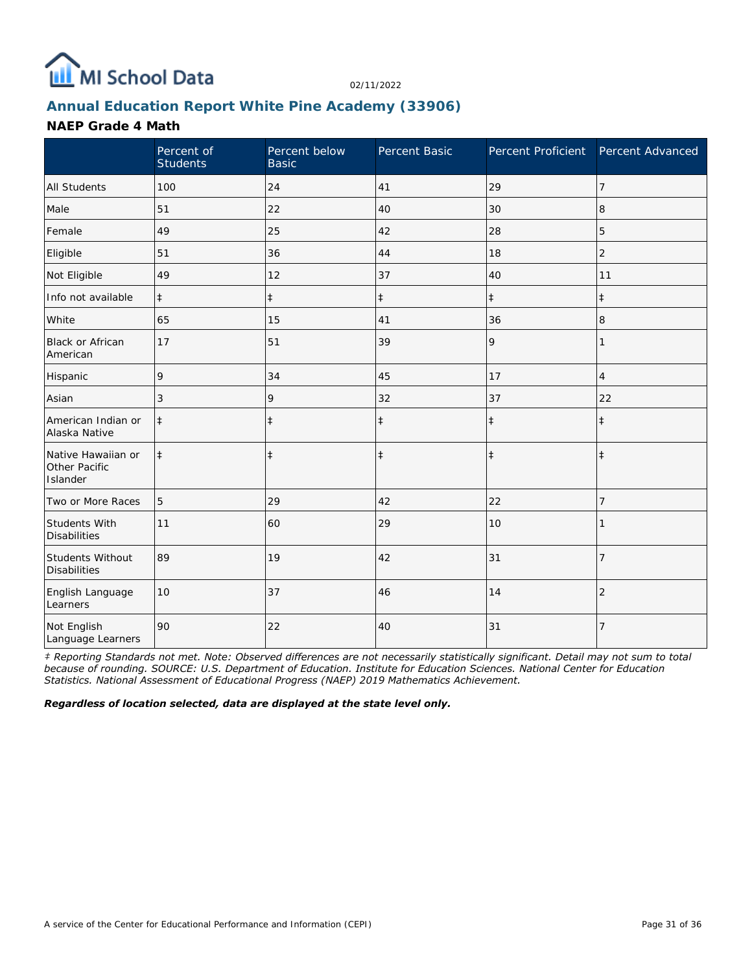

## **Annual Education Report White Pine Academy (33906)**

#### **NAEP Grade 4 Math**

|                                                 | Percent of<br><b>Students</b> | Percent below<br><b>Basic</b> | Percent Basic | Percent Proficient | Percent Advanced |
|-------------------------------------------------|-------------------------------|-------------------------------|---------------|--------------------|------------------|
| <b>All Students</b>                             | 100                           | 24                            | 41            | 29                 | $\overline{7}$   |
| Male                                            | 51                            | 22                            | 40            | 30                 | 8                |
| Female                                          | 49                            | 25                            | 42            | 28                 | 5                |
| Eligible                                        | 51                            | 36                            | 44            | 18                 | $\overline{2}$   |
| Not Eligible                                    | 49                            | 12                            | 37            | 40                 | 11               |
| Info not available                              | $\ddagger$                    | $\ddagger$                    | $\ddagger$    | $\ddagger$         | $\ddagger$       |
| White                                           | 65                            | 15                            | 41            | 36                 | 8                |
| <b>Black or African</b><br>American             | 17                            | 51                            | 39            | 9                  | 1                |
| Hispanic                                        | 9                             | 34                            | 45            | 17                 | $\overline{4}$   |
| Asian                                           | 3                             | 9                             | 32            | 37                 | 22               |
| American Indian or<br>Alaska Native             | $\ddagger$                    | $\ddagger$                    | $\ddagger$    | $\ddagger$         | $\ddagger$       |
| Native Hawaiian or<br>Other Pacific<br>Islander | $\ddagger$                    | $\ddagger$                    | $\ddagger$    | $\ddagger$         | $\ddagger$       |
| Two or More Races                               | 5                             | 29                            | 42            | 22                 | 7                |
| Students With<br><b>Disabilities</b>            | 11                            | 60                            | 29            | 10                 |                  |
| <b>Students Without</b><br><b>Disabilities</b>  | 89                            | 19                            | 42            | 31                 | $\overline{7}$   |
| English Language<br>Learners                    | 10                            | 37                            | 46            | 14                 | $\overline{2}$   |
| Not English<br>Language Learners                | 90                            | 22                            | 40            | 31                 | $\overline{7}$   |

*‡ Reporting Standards not met. Note: Observed differences are not necessarily statistically significant. Detail may not sum to total because of rounding. SOURCE: U.S. Department of Education. Institute for Education Sciences. National Center for Education Statistics. National Assessment of Educational Progress (NAEP) 2019 Mathematics Achievement.*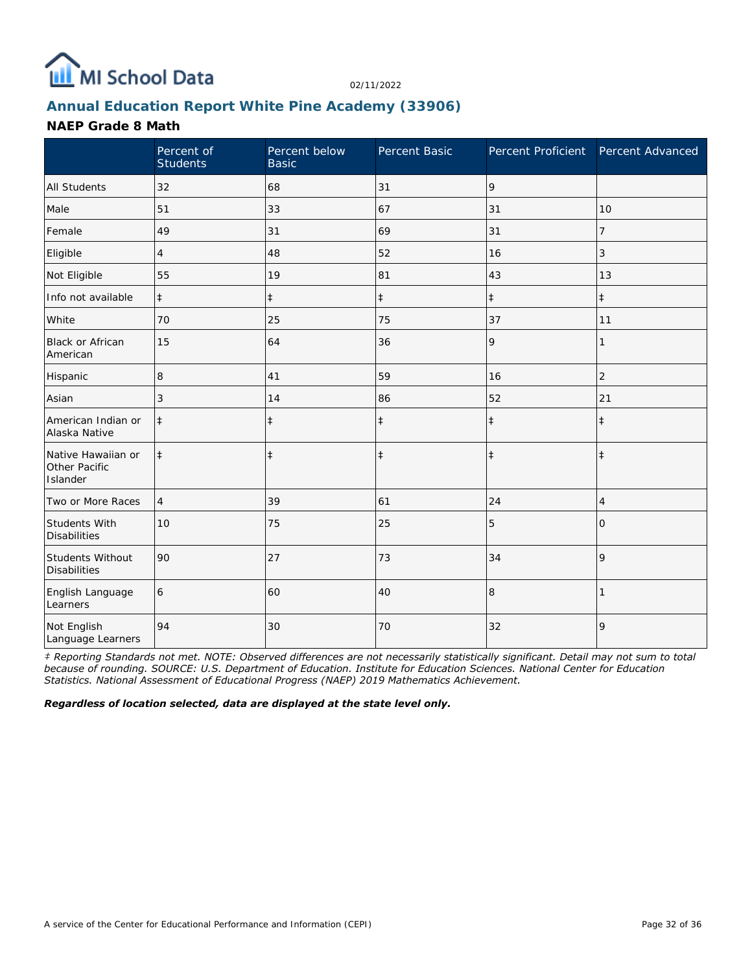

## **Annual Education Report White Pine Academy (33906)**

#### **NAEP Grade 8 Math**

|                                                 | Percent of<br><b>Students</b> | Percent below<br><b>Basic</b> | Percent Basic | Percent Proficient Percent Advanced |                |
|-------------------------------------------------|-------------------------------|-------------------------------|---------------|-------------------------------------|----------------|
| <b>All Students</b>                             | 32                            | 68                            | 31            | 9                                   |                |
| Male                                            | 51                            | 33                            | 67            | 31                                  | 10             |
| Female                                          | 49                            | 31                            | 69            | 31                                  | 7              |
| Eligible                                        | 4                             | 48                            | 52            | 16                                  | 3              |
| Not Eligible                                    | 55                            | 19                            | 81            | 43                                  | 13             |
| Info not available                              | $\ddagger$                    | $\ddagger$                    | $\ddagger$    | $\ddagger$                          | $\ddagger$     |
| White                                           | 70                            | 25                            | 75            | 37                                  | 11             |
| <b>Black or African</b><br>American             | 15                            | 64                            | 36            | 9                                   | 1              |
| Hispanic                                        | 8                             | 41                            | 59            | 16                                  | $\overline{2}$ |
| Asian                                           | 3                             | 14                            | 86            | 52                                  | 21             |
| American Indian or<br>Alaska Native             | $\ddagger$                    | $\ddagger$                    | $\ddagger$    | $\ddagger$                          | $\ddagger$     |
| Native Hawaiian or<br>Other Pacific<br>Islander | $\ddagger$                    | $\ddagger$                    | $\ddagger$    | $\ddagger$                          | $\ddagger$     |
| Two or More Races                               | $\overline{4}$                | 39                            | 61            | 24                                  | 4              |
| Students With<br><b>Disabilities</b>            | 10                            | 75                            | 25            | 5                                   | 0              |
| Students Without<br><b>Disabilities</b>         | 90                            | 27                            | 73            | 34                                  | 9              |
| English Language<br>Learners                    | 6                             | 60                            | 40            | 8                                   |                |
| Not English<br>Language Learners                | 94                            | 30                            | 70            | 32                                  | 9              |

*‡ Reporting Standards not met. NOTE: Observed differences are not necessarily statistically significant. Detail may not sum to total because of rounding. SOURCE: U.S. Department of Education. Institute for Education Sciences. National Center for Education Statistics. National Assessment of Educational Progress (NAEP) 2019 Mathematics Achievement.*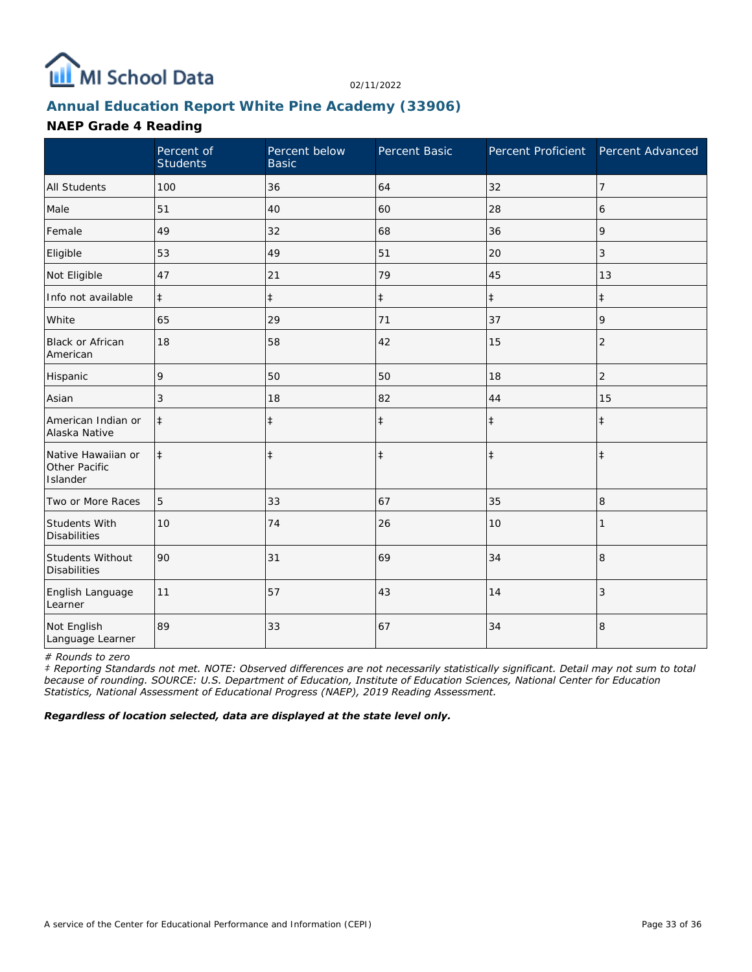

## **Annual Education Report White Pine Academy (33906)**

#### **NAEP Grade 4 Reading**

|                                                 | Percent of<br><b>Students</b> | Percent below<br><b>Basic</b> | Percent Basic | Percent Proficient Percent Advanced |                |
|-------------------------------------------------|-------------------------------|-------------------------------|---------------|-------------------------------------|----------------|
| <b>All Students</b>                             | 100                           | 36                            | 64            | 32                                  | $\overline{7}$ |
| Male                                            | 51                            | 40                            | 60            | 28                                  | 6              |
| Female                                          | 49                            | 32                            | 68            | 36                                  | 9              |
| Eligible                                        | 53                            | 49                            | 51            | 20                                  | 3              |
| Not Eligible                                    | 47                            | 21                            | 79            | 45                                  | 13             |
| Info not available                              | $\ddagger$                    | $\ddagger$                    | $\ddagger$    | $\ddagger$                          | $\ddagger$     |
| White                                           | 65                            | 29                            | 71            | 37                                  | 9              |
| Black or African<br>American                    | 18                            | 58                            | 42            | 15                                  | $\overline{2}$ |
| Hispanic                                        | 9                             | 50                            | 50            | 18                                  | 2              |
| Asian                                           | 3                             | 18                            | 82            | 44                                  | 15             |
| American Indian or<br>Alaska Native             | $\ddagger$                    | $\ddagger$                    | $\ddagger$    | $\ddagger$                          | $\ddagger$     |
| Native Hawaiian or<br>Other Pacific<br>Islander | $\ddagger$                    | $\ddagger$                    | $\ddagger$    | $\ddagger$                          | $\ddagger$     |
| Two or More Races                               | 5                             | 33                            | 67            | 35                                  | 8              |
| <b>Students With</b><br><b>Disabilities</b>     | 10                            | 74                            | 26            | 10                                  |                |
| Students Without<br><b>Disabilities</b>         | 90                            | 31                            | 69            | 34                                  | 8              |
| English Language<br>Learner                     | 11                            | 57                            | 43            | 14                                  | 3              |
| Not English<br>Language Learner                 | 89                            | 33                            | 67            | 34                                  | 8              |

*# Rounds to zero*

*‡ Reporting Standards not met. NOTE: Observed differences are not necessarily statistically significant. Detail may not sum to total because of rounding. SOURCE: U.S. Department of Education, Institute of Education Sciences, National Center for Education Statistics, National Assessment of Educational Progress (NAEP), 2019 Reading Assessment.*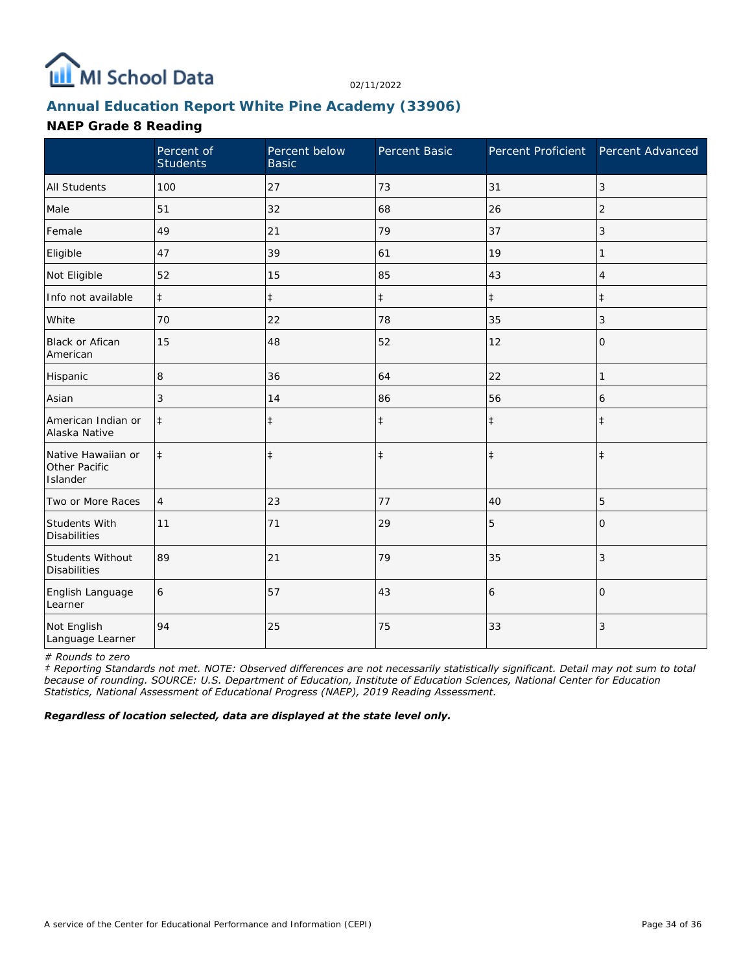

# **Annual Education Report White Pine Academy (33906)**

#### **NAEP Grade 8 Reading**

|                                                 | Percent of<br><b>Students</b> | Percent below<br><b>Basic</b> | Percent Basic | Percent Proficient Percent Advanced |                |
|-------------------------------------------------|-------------------------------|-------------------------------|---------------|-------------------------------------|----------------|
| <b>All Students</b>                             | 100                           | 27                            | 73            | 31                                  | 3              |
| Male                                            | 51                            | 32                            | 68            | 26                                  | 2              |
| Female                                          | 49                            | 21                            | 79            | 37                                  | 3              |
| Eligible                                        | 47                            | 39                            | 61            | 19                                  | 1              |
| Not Eligible                                    | 52                            | 15                            | 85            | 43                                  | 4              |
| Info not available                              | $\ddagger$                    | $\ddagger$                    | $\ddagger$    | $\ddagger$                          | $\ddagger$     |
| White                                           | 70                            | 22                            | 78            | 35                                  | 3              |
| <b>Black or Afican</b><br>American              | 15                            | 48                            | 52            | 12                                  | $\mathbf{O}$   |
| Hispanic                                        | 8                             | 36                            | 64            | 22                                  | 1              |
| Asian                                           | 3                             | 14                            | 86            | 56                                  | 6              |
| American Indian or<br>Alaska Native             | $\ddagger$                    | $\ddagger$                    | $\ddagger$    | $\ddagger$                          | $\ddagger$     |
| Native Hawaiian or<br>Other Pacific<br>Islander | $\ddagger$                    | $\ddagger$                    | $\ddagger$    | $\ddagger$                          | $\ddagger$     |
| Two or More Races                               | $\overline{4}$                | 23                            | 77            | 40                                  | 5              |
| Students With<br><b>Disabilities</b>            | 11                            | 71                            | 29            | 5                                   | $\Omega$       |
| Students Without<br><b>Disabilities</b>         | 89                            | 21                            | 79            | 35                                  | 3              |
| English Language<br>Learner                     | 6                             | 57                            | 43            | 6                                   | $\overline{0}$ |
| Not English<br>Language Learner                 | 94                            | 25                            | 75            | 33                                  | 3              |

*# Rounds to zero*

*‡ Reporting Standards not met. NOTE: Observed differences are not necessarily statistically significant. Detail may not sum to total because of rounding. SOURCE: U.S. Department of Education, Institute of Education Sciences, National Center for Education Statistics, National Assessment of Educational Progress (NAEP), 2019 Reading Assessment.*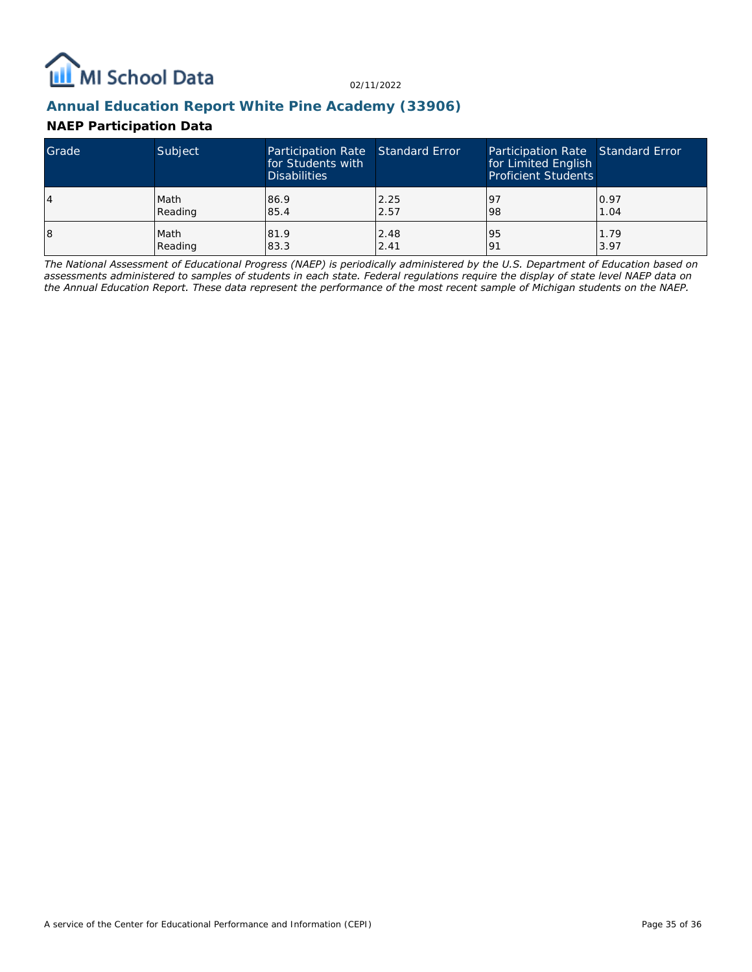

## **Annual Education Report White Pine Academy (33906)**

### **NAEP Participation Data**

| Grade | Subject | Participation Rate Standard Error<br>for Students with<br><b>Disabilities</b> |      | Participation Rate Standard Error<br>for Limited English<br><b>Proficient Students</b> |      |
|-------|---------|-------------------------------------------------------------------------------|------|----------------------------------------------------------------------------------------|------|
| 4     | Math    | 86.9                                                                          | 2.25 | <u>l</u> 9                                                                             | 0.97 |
|       | Reading | 85.4                                                                          | 2.57 | 98                                                                                     | 1.04 |
| 18    | Math    | 81.9                                                                          | 2.48 | 95                                                                                     | 1.79 |
|       | Reading | 83.3                                                                          | 2.41 | 191                                                                                    | 3.97 |

*The National Assessment of Educational Progress (NAEP) is periodically administered by the U.S. Department of Education based on assessments administered to samples of students in each state. Federal regulations require the display of state level NAEP data on the Annual Education Report. These data represent the performance of the most recent sample of Michigan students on the NAEP.*